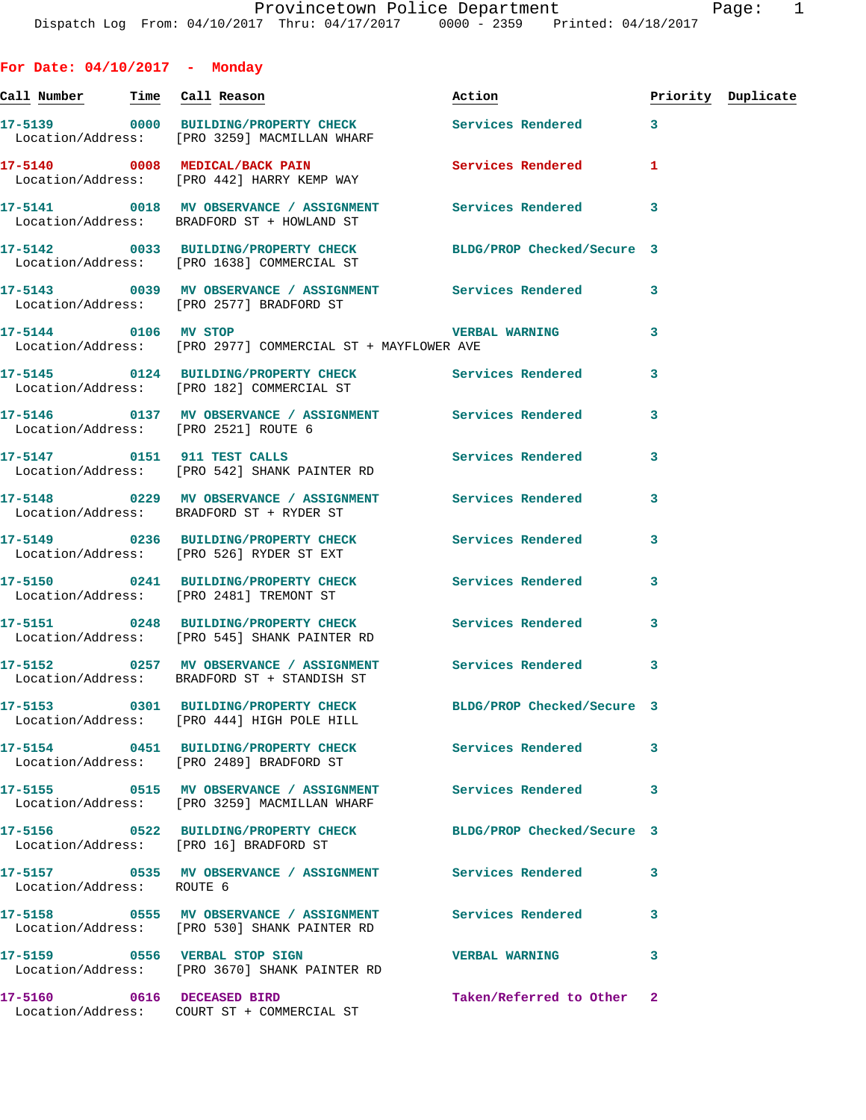**For Date: 04/10/2017 - Monday Call Number Time Call Reason Action Priority Duplicate 17-5139 0000 BUILDING/PROPERTY CHECK Services Rendered 3**  Location/Address: [PRO 3259] MACMILLAN WHARF **17-5140 0008 MEDICAL/BACK PAIN Services Rendered 1**  Location/Address: [PRO 442] HARRY KEMP WAY **17-5141 0018 MV OBSERVANCE / ASSIGNMENT Services Rendered 3**  Location/Address: BRADFORD ST + HOWLAND ST **17-5142 0033 BUILDING/PROPERTY CHECK BLDG/PROP Checked/Secure 3**  Location/Address: [PRO 1638] COMMERCIAL ST **17-5143 0039 MV OBSERVANCE / ASSIGNMENT Services Rendered 3**  Location/Address: [PRO 2577] BRADFORD ST **17-5144 0106 MV STOP VERBAL WARNING 3**  Location/Address: [PRO 2977] COMMERCIAL ST + MAYFLOWER AVE **17-5145 0124 BUILDING/PROPERTY CHECK Services Rendered 3**  Location/Address: [PRO 182] COMMERCIAL ST **17-5146 0137 MV OBSERVANCE / ASSIGNMENT Services Rendered 3**  Location/Address: [PRO 2521] ROUTE 6 **17-5147 0151 911 TEST CALLS Services Rendered 3**  Location/Address: [PRO 542] SHANK PAINTER RD **17-5148 0229 MV OBSERVANCE / ASSIGNMENT Services Rendered 3**  Location/Address: BRADFORD ST + RYDER ST **17-5149 0236 BUILDING/PROPERTY CHECK Services Rendered 3**  Location/Address: [PRO 526] RYDER ST EXT **17-5150 0241 BUILDING/PROPERTY CHECK Services Rendered 3**  Location/Address: [PRO 2481] TREMONT ST **17-5151 0248 BUILDING/PROPERTY CHECK Services Rendered 3**  Location/Address: [PRO 545] SHANK PAINTER RD **17-5152 0257 MV OBSERVANCE / ASSIGNMENT Services Rendered 3**  Location/Address: BRADFORD ST + STANDISH ST **17-5153 0301 BUILDING/PROPERTY CHECK BLDG/PROP Checked/Secure 3**  Location/Address: [PRO 444] HIGH POLE HILL **17-5154 0451 BUILDING/PROPERTY CHECK Services Rendered 3**  Location/Address: [PRO 2489] BRADFORD ST **17-5155 0515 MV OBSERVANCE / ASSIGNMENT Services Rendered 3**  Location/Address: [PRO 3259] MACMILLAN WHARF **17-5156 0522 BUILDING/PROPERTY CHECK BLDG/PROP Checked/Secure 3**  Location/Address: [PRO 16] BRADFORD ST **17-5157 0535 MV OBSERVANCE / ASSIGNMENT Services Rendered 3**  Location/Address: ROUTE 6

**17-5158 0555 MV OBSERVANCE / ASSIGNMENT Services Rendered 3**  Location/Address: [PRO 530] SHANK PAINTER RD **17-5159 0556 VERBAL STOP SIGN VERBAL WARNING 3**  Location/Address: [PRO 3670] SHANK PAINTER RD **17-5160 0616 DECEASED BIRD Taken/Referred to Other 2** 

Location/Address: COURT ST + COMMERCIAL ST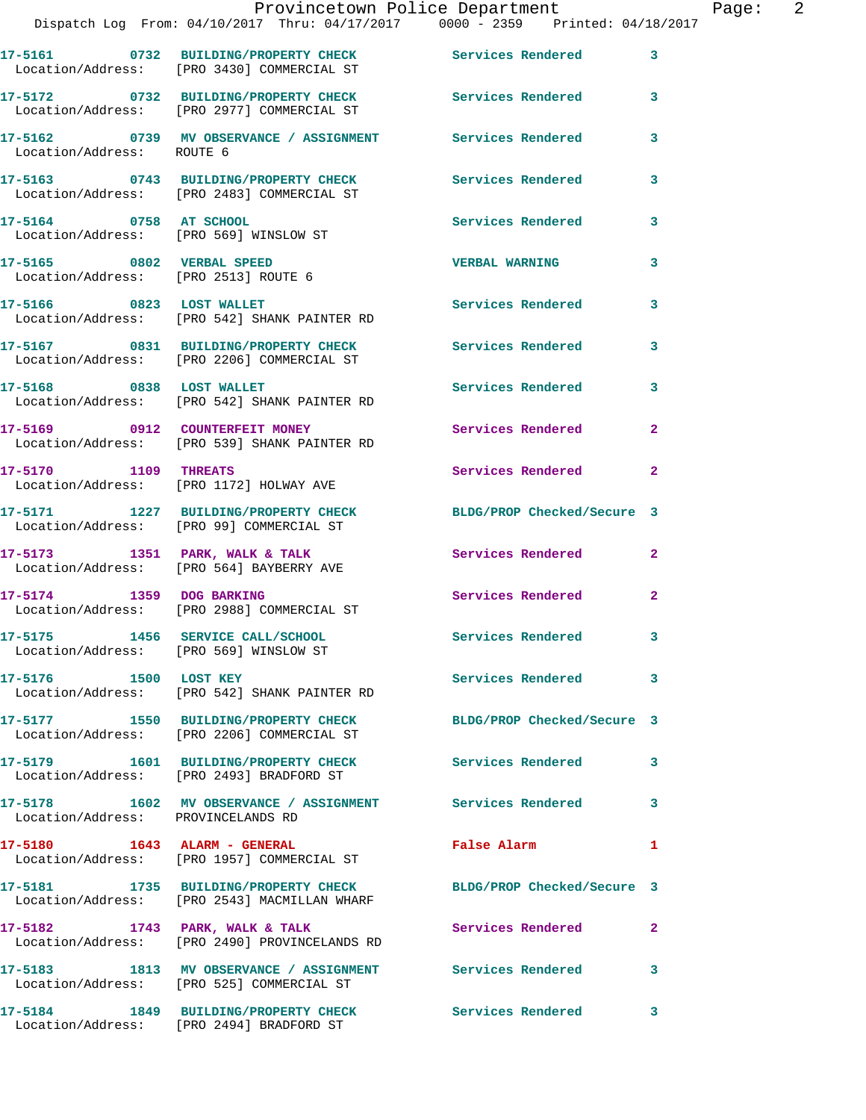|                                        | Provincetown Police Department<br>Dispatch Log From: 04/10/2017 Thru: 04/17/2017 0000 - 2359 Printed: 04/18/2017 |                            |                |
|----------------------------------------|------------------------------------------------------------------------------------------------------------------|----------------------------|----------------|
|                                        | 17-5161 0732 BUILDING/PROPERTY CHECK Services Rendered<br>Location/Address: [PRO 3430] COMMERCIAL ST             |                            | $\mathbf{3}$   |
|                                        | 17-5172 0732 BUILDING/PROPERTY CHECK<br>Location/Address: [PRO 2977] COMMERCIAL ST                               | Services Rendered          | 3              |
| Location/Address: ROUTE 6              | 17-5162 0739 MV OBSERVANCE / ASSIGNMENT Services Rendered                                                        |                            | 3              |
|                                        | 17-5163 0743 BUILDING/PROPERTY CHECK Services Rendered<br>Location/Address: [PRO 2483] COMMERCIAL ST             |                            | 3              |
| 17-5164 0758 AT SCHOOL                 | Location/Address: [PRO 569] WINSLOW ST                                                                           | <b>Services Rendered</b>   | 3              |
| 17-5165 0802 VERBAL SPEED              | Location/Address: [PRO 2513] ROUTE 6                                                                             | <b>VERBAL WARNING</b>      | 3              |
|                                        | 17-5166 0823 LOST WALLET<br>Location/Address: [PRO 542] SHANK PAINTER RD                                         | Services Rendered          | 3              |
|                                        | 17-5167 0831 BUILDING/PROPERTY CHECK Services Rendered<br>Location/Address: [PRO 2206] COMMERCIAL ST             |                            | 3              |
|                                        | 17-5168      0838   LOST WALLET<br>Location/Address:   [PRO 542] SHANK PAINTER RD                                | Services Rendered          | 3              |
|                                        | 17-5169 0912 COUNTERFEIT MONEY<br>Location/Address: [PRO 539] SHANK PAINTER RD                                   | Services Rendered          | $\mathbf{2}$   |
|                                        | 17-5170 1109 THREATS<br>Location/Address: [PRO 1172] HOLWAY AVE                                                  | Services Rendered          | $\overline{a}$ |
|                                        | 17-5171 1227 BUILDING/PROPERTY CHECK BLDG/PROP Checked/Secure 3<br>Location/Address: [PRO 99] COMMERCIAL ST      |                            |                |
|                                        | 17-5173 1351 PARK, WALK & TALK<br>Location/Address: [PRO 564] BAYBERRY AVE                                       | Services Rendered          | $\overline{a}$ |
|                                        | 17-5174 1359 DOG BARKING<br>Location/Address: [PRO 2988] COMMERCIAL ST                                           | <b>Services Rendered</b>   | $\overline{a}$ |
| Location/Address: [PRO 569] WINSLOW ST | 17-5175 1456 SERVICE CALL/SCHOOL                                                                                 | <b>Services Rendered</b>   | 3              |
| 17-5176 1500 LOST KEY                  | Location/Address: [PRO 542] SHANK PAINTER RD                                                                     | Services Rendered          | 3              |
|                                        | 17-5177 1550 BUILDING/PROPERTY CHECK<br>Location/Address: [PRO 2206] COMMERCIAL ST                               | BLDG/PROP Checked/Secure 3 |                |
|                                        | 17-5179 1601 BUILDING/PROPERTY CHECK Services Rendered<br>Location/Address: [PRO 2493] BRADFORD ST               |                            | 3              |
| Location/Address: PROVINCELANDS RD     | 17-5178 1602 MV OBSERVANCE / ASSIGNMENT Services Rendered                                                        |                            | 3              |
|                                        | Location/Address: [PRO 1957] COMMERCIAL ST                                                                       | False Alarm                | 1              |
|                                        | Location/Address: [PRO 2543] MACMILLAN WHARF                                                                     | BLDG/PROP Checked/Secure 3 |                |
| 17-5182 1743 PARK, WALK & TALK         | Location/Address: [PRO 2490] PROVINCELANDS RD                                                                    | Services Rendered          | $\overline{a}$ |
|                                        | 17-5183 1813 MV OBSERVANCE / ASSIGNMENT Services Rendered<br>Location/Address: [PRO 525] COMMERCIAL ST           |                            | 3              |

Location/Address: [PRO 2494] BRADFORD ST

**17-5184 1849 BUILDING/PROPERTY CHECK Services Rendered 3** 

Page: 2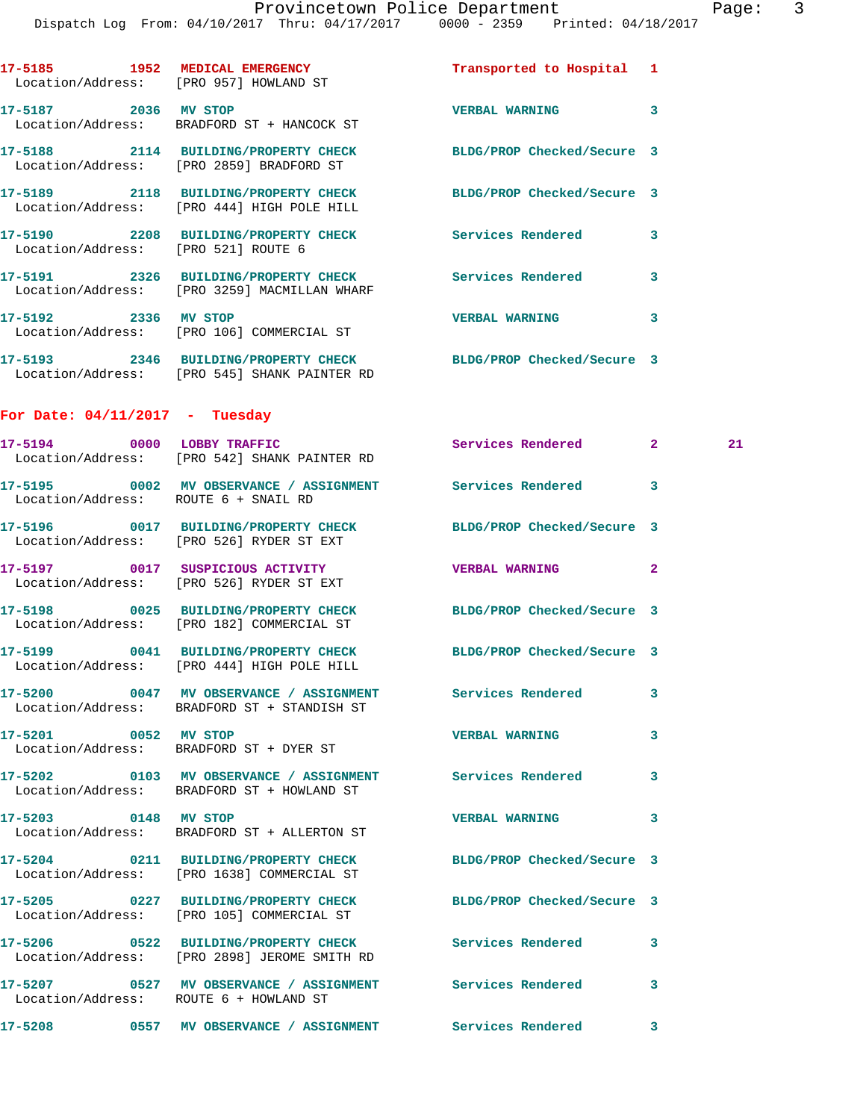|                      | Dispatch Log From: 04/10/2017 Thru: 04/17/2017 0000 - 2359 Printed: 04/18/2017                                  |                            |              |    |
|----------------------|-----------------------------------------------------------------------------------------------------------------|----------------------------|--------------|----|
|                      | 17-5185 1952 MEDICAL EMERGENCY<br>Location/Address: [PRO 957] HOWLAND ST                                        | Transported to Hospital 1  |              |    |
|                      | 17-5187 2036 MV STOP<br>Location/Address: BRADFORD ST + HANCOCK ST                                              | <b>VERBAL WARNING</b>      | 3            |    |
|                      | 17-5188 2114 BUILDING/PROPERTY CHECK<br>Location/Address: [PRO 2859] BRADFORD ST                                | BLDG/PROP Checked/Secure 3 |              |    |
|                      | 17-5189 2118 BUILDING/PROPERTY CHECK<br>Location/Address: [PRO 444] HIGH POLE HILL                              | BLDG/PROP Checked/Secure 3 |              |    |
|                      | 17-5190 2208 BUILDING/PROPERTY CHECK Services Rendered 3<br>Location/Address: [PRO 521] ROUTE 6                 |                            |              |    |
|                      | 17-5191 2326 BUILDING/PROPERTY CHECK Services Rendered<br>Location/Address: [PRO 3259] MACMILLAN WHARF          |                            | 3            |    |
| 17-5192 2336 MV STOP | Location/Address: [PRO 106] COMMERCIAL ST                                                                       | <b>VERBAL WARNING</b>      | 3            |    |
|                      | 17-5193 2346 BUILDING/PROPERTY CHECK BLDG/PROP Checked/Secure 3<br>Location/Address: [PRO 545] SHANK PAINTER RD |                            |              |    |
|                      | For Date: $04/11/2017$ - Tuesday                                                                                |                            |              |    |
|                      | 17-5194 0000 LOBBY TRAFFIC<br>Location/Address: [PRO 542] SHANK PAINTER RD                                      | Services Rendered 2        |              | 21 |
|                      | 17-5195 6002 MV OBSERVANCE / ASSIGNMENT Services Rendered<br>Location/Address: ROUTE 6 + SNAIL RD               |                            | 3            |    |
|                      | 17-5196 0017 BUILDING/PROPERTY CHECK<br>Location/Address: [PRO 526] RYDER ST EXT                                | BLDG/PROP Checked/Secure 3 |              |    |
|                      | 17-5197 0017 SUSPICIOUS ACTIVITY<br>Location/Address: [PRO 526] RYDER ST EXT                                    | <b>VERBAL WARNING</b>      | $\mathbf{2}$ |    |
|                      | 17-5198 0025 BUILDING/PROPERTY CHECK<br>Location/Address: [PRO 182] COMMERCIAL ST                               | BLDG/PROP Checked/Secure 3 |              |    |
|                      | 17-5199 0041 BUILDING/PROPERTY CHECK BLDG/PROP Checked/Secure 3<br>Location/Address: [PRO 444] HIGH POLE HILL   |                            |              |    |
|                      | 17-5200 0047 MV OBSERVANCE / ASSIGNMENT Services Rendered<br>Location/Address: BRADFORD ST + STANDISH ST        |                            | 3            |    |
| 17-5201 0052 MV STOP | Location/Address: BRADFORD ST + DYER ST                                                                         | <b>VERBAL WARNING</b>      | 3            |    |
|                      | 17-5202 0103 MV OBSERVANCE / ASSIGNMENT Services Rendered<br>Location/Address: BRADFORD ST + HOWLAND ST         |                            | 3            |    |
| 17-5203 0148 MV STOP | Location/Address: BRADFORD ST + ALLERTON ST                                                                     | <b>VERBAL WARNING</b>      | 3            |    |
|                      | 17-5204 0211 BUILDING/PROPERTY CHECK<br>Location/Address: [PRO 1638] COMMERCIAL ST                              | BLDG/PROP Checked/Secure 3 |              |    |
|                      | 17-5205 0227 BUILDING/PROPERTY CHECK<br>Location/Address: [PRO 105] COMMERCIAL ST                               | BLDG/PROP Checked/Secure 3 |              |    |
|                      | 17-5206 0522 BUILDING/PROPERTY CHECK Services Rendered<br>Location/Address: [PRO 2898] JEROME SMITH RD          |                            | 3            |    |
|                      | 17-5207 6527 MV OBSERVANCE / ASSIGNMENT Services Rendered<br>Location/Address: ROUTE 6 + HOWLAND ST             |                            | 3            |    |
|                      | 17-5208 6557 MV OBSERVANCE / ASSIGNMENT Services Rendered                                                       |                            | $\mathbf{3}$ |    |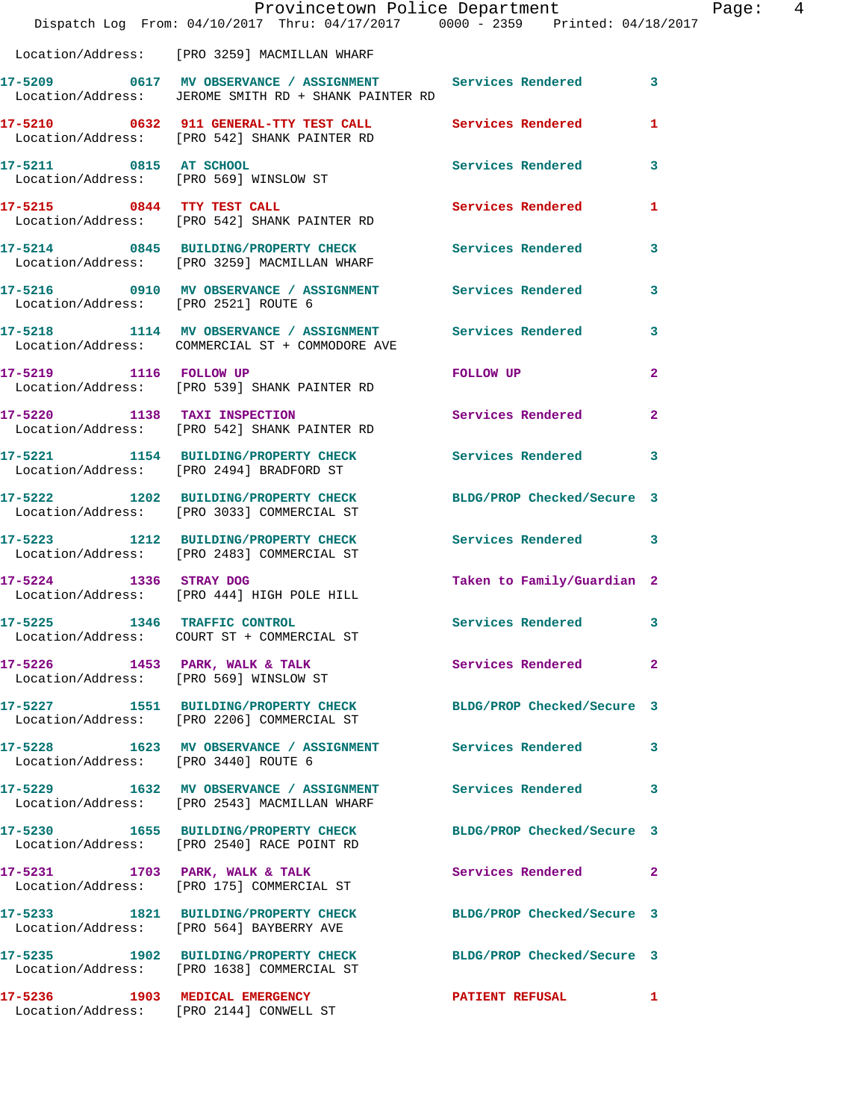|                                      | Dispatch Log From: 04/10/2017 Thru: 04/17/2017 0000 - 2359 Printed: 04/18/2017                                      | Provincetown Police Department | Page: 4                 |
|--------------------------------------|---------------------------------------------------------------------------------------------------------------------|--------------------------------|-------------------------|
|                                      | Location/Address: [PRO 3259] MACMILLAN WHARF                                                                        |                                |                         |
|                                      | 17-5209 0617 MV OBSERVANCE / ASSIGNMENT Services Rendered 3<br>Location/Address: JEROME SMITH RD + SHANK PAINTER RD |                                |                         |
|                                      | 17-5210 0632 911 GENERAL-TTY TEST CALL Services Rendered<br>Location/Address: [PRO 542] SHANK PAINTER RD            |                                | 1                       |
| 17-5211 0815 AT SCHOOL               | Location/Address: [PRO 569] WINSLOW ST                                                                              | Services Rendered 3            |                         |
|                                      | 17-5215 0844 TTY TEST CALL<br>Location/Address: [PRO 542] SHANK PAINTER RD                                          | Services Rendered              | -1                      |
|                                      | 17-5214 0845 BUILDING/PROPERTY CHECK Services Rendered 3<br>Location/Address: [PRO 3259] MACMILLAN WHARF            |                                |                         |
|                                      | 17-5216      0910   MV OBSERVANCE / ASSIGNMENT      Services Rendered<br>Location/Address:   [PRO 2521]ROUTE 6      |                                | $\overline{\mathbf{3}}$ |
|                                      | 17-5218 1114 MV OBSERVANCE / ASSIGNMENT Services Rendered<br>Location/Address: COMMERCIAL ST + COMMODORE AVE        |                                | 3                       |
|                                      | 17-5219 1116 FOLLOW UP<br>Location/Address: [PRO 539] SHANK PAINTER RD                                              | FOLLOW UP                      | $\overline{2}$          |
|                                      | 17-5220 1138 TAXI INSPECTION<br>Location/Address: [PRO 542] SHANK PAINTER RD                                        | Services Rendered              | $\overline{2}$          |
|                                      | 17-5221 1154 BUILDING/PROPERTY CHECK<br>Location/Address: [PRO 2494] BRADFORD ST                                    | Services Rendered 3            |                         |
|                                      | 17-5222 1202 BUILDING/PROPERTY CHECK<br>Location/Address: [PRO 3033] COMMERCIAL ST                                  | BLDG/PROP Checked/Secure 3     |                         |
|                                      | 17-5223 1212 BUILDING/PROPERTY CHECK<br>Location/Address: [PRO 2483] COMMERCIAL ST                                  | Services Rendered 3            |                         |
| 17-5224 1336 STRAY DOG               | Location/Address: [PRO 444] HIGH POLE HILL                                                                          | Taken to Family/Guardian 2     |                         |
| 17-5225                              | 1346 TRAFFIC CONTROL<br>Location/Address: COURT ST + COMMERCIAL ST                                                  | Services Rendered 3            |                         |
|                                      | 17-5226 1453 PARK, WALK & TALK Services Rendered<br>Location/Address: [PRO 569] WINSLOW ST                          |                                | $\mathbf{2}$            |
|                                      |                                                                                                                     | BLDG/PROP Checked/Secure 3     |                         |
| Location/Address: [PRO 3440] ROUTE 6 | 17-5228 1623 MV OBSERVANCE / ASSIGNMENT Services Rendered                                                           |                                | 3                       |
|                                      | 17-5229 1632 MV OBSERVANCE / ASSIGNMENT<br>Location/Address: [PRO 2543] MACMILLAN WHARF                             | Services Rendered              | $\overline{\mathbf{3}}$ |
|                                      | 17-5230 1655 BUILDING/PROPERTY CHECK BLDG/PROP Checked/Secure 3<br>Location/Address: [PRO 2540] RACE POINT RD       |                                |                         |
|                                      | 17-5231 1703 PARK, WALK & TALK<br>Location/Address: [PRO 175] COMMERCIAL ST                                         | <b>Services Rendered 22</b>    |                         |
|                                      | 17-5233 1821 BUILDING/PROPERTY CHECK BLDG/PROP Checked/Secure 3<br>Location/Address: [PRO 564] BAYBERRY AVE         |                                |                         |
|                                      | 17-5235 1902 BUILDING/PROPERTY CHECK BLDG/PROP Checked/Secure 3<br>Location/Address: [PRO 1638] COMMERCIAL ST       |                                |                         |
|                                      | 17-5236 1903 MEDICAL EMERGENCY<br>Location/Address: [PRO 2144] CONWELL ST                                           | <b>PATIENT REFUSAL</b>         | 1                       |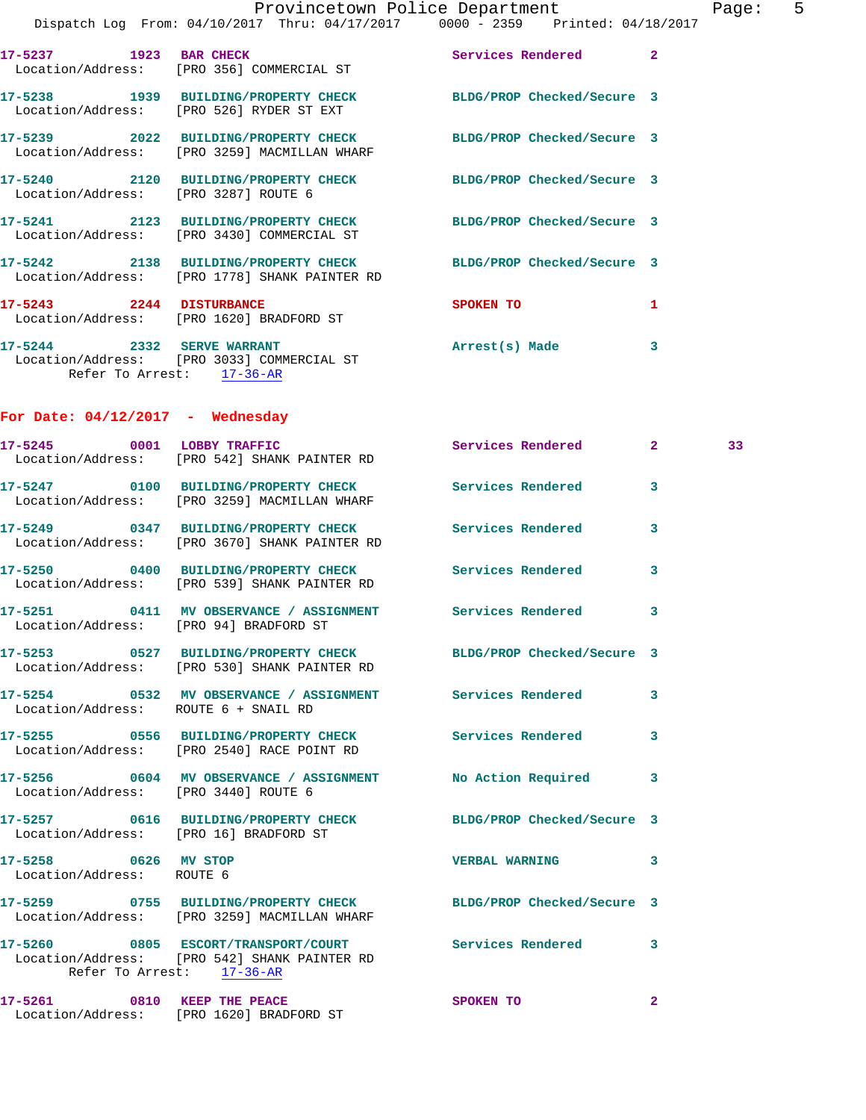|                          | Location/Address: [PRO 356] COMMERCIAL ST                                             | Services Rendered          | $\overline{2}$ |
|--------------------------|---------------------------------------------------------------------------------------|----------------------------|----------------|
|                          | 17-5238 1939 BUILDING/PROPERTY CHECK<br>Location/Address: [PRO 526] RYDER ST EXT      | BLDG/PROP Checked/Secure 3 |                |
|                          | Location/Address: [PRO 3259] MACMILLAN WHARF                                          | BLDG/PROP Checked/Secure 3 |                |
|                          | 17-5240 2120 BUILDING/PROPERTY CHECK<br>Location/Address: [PRO 3287] ROUTE 6          | BLDG/PROP Checked/Secure 3 |                |
|                          | 17-5241 2123 BUILDING/PROPERTY CHECK<br>Location/Address: [PRO 3430] COMMERCIAL ST    | BLDG/PROP Checked/Secure 3 |                |
|                          | 17-5242 2138 BUILDING/PROPERTY CHECK<br>Location/Address: [PRO 1778] SHANK PAINTER RD | BLDG/PROP Checked/Secure 3 |                |
| 17-5243 2244 DISTURBANCE | Location/Address: [PRO 1620] BRADFORD ST                                              | SPOKEN TO                  | 1              |
|                          |                                                                                       |                            |                |

**17-5244 2332 SERVE WARRANT Arrest(s) Made 3**  Location/Address: [PRO 3033] COMMERCIAL ST Refer To Arrest: 17-36-AR

**For Date: 04/12/2017 - Wednesday**

Location/Address: [PRO 1620] BRADFORD ST

**17-5245 0001 LOBBY TRAFFIC Services Rendered 2 33**  Location/Address: [PRO 542] SHANK PAINTER RD **17-5247 0100 BUILDING/PROPERTY CHECK Services Rendered 3**  Location/Address: [PRO 3259] MACMILLAN WHARF **17-5249 0347 BUILDING/PROPERTY CHECK Services Rendered 3**  Location/Address: [PRO 3670] SHANK PAINTER RD **17-5250 0400 BUILDING/PROPERTY CHECK Services Rendered 3**  Location/Address: [PRO 539] SHANK PAINTER RD **17-5251 0411 MV OBSERVANCE / ASSIGNMENT Services Rendered 3**  Location/Address: [PRO 94] BRADFORD ST **17-5253 0527 BUILDING/PROPERTY CHECK BLDG/PROP Checked/Secure 3**  Location/Address: [PRO 530] SHANK PAINTER RD **17-5254 0532 MV OBSERVANCE / ASSIGNMENT Services Rendered 3**  Location/Address: ROUTE 6 + SNAIL RD **17-5255 0556 BUILDING/PROPERTY CHECK Services Rendered 3**  Location/Address: [PRO 2540] RACE POINT RD **17-5256 0604 MV OBSERVANCE / ASSIGNMENT No Action Required 3**  Location/Address: [PRO 3440] ROUTE 6 **17-5257 0616 BUILDING/PROPERTY CHECK BLDG/PROP Checked/Secure 3**  Location/Address: [PRO 16] BRADFORD ST **17-5258 0626 MV STOP VERBAL WARNING 3**  Location/Address: ROUTE 6 **17-5259 0755 BUILDING/PROPERTY CHECK BLDG/PROP Checked/Secure 3**  Location/Address: [PRO 3259] MACMILLAN WHARF **17-5260 0805 ESCORT/TRANSPORT/COURT Services Rendered 3**  Location/Address: [PRO 542] SHANK PAINTER RD Refer To Arrest: 17-36-AR **17-5261** 0810 KEEP THE PEACE SPOKEN TO 2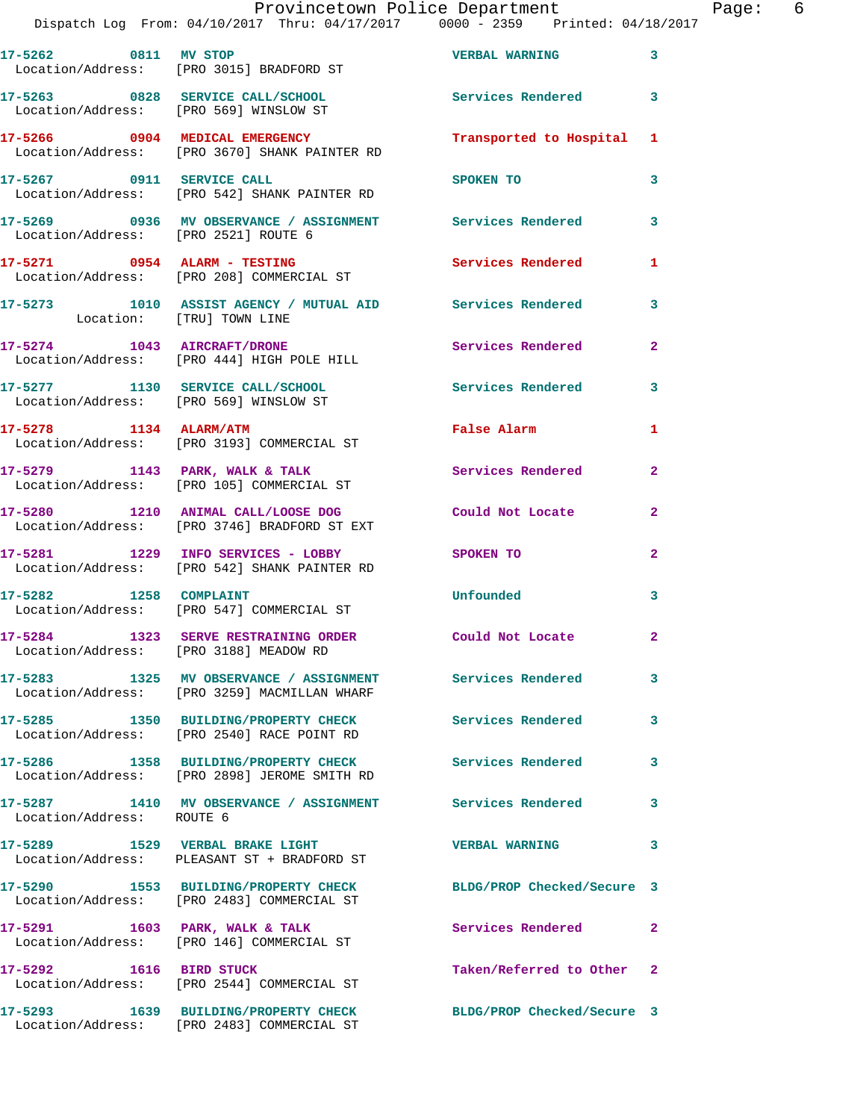| 17-5262 0811 MV STOP                   | Location/Address: [PRO 3015] BRADFORD ST                                                | <b>VERBAL WARNING</b>      | $\overline{\mathbf{3}}$ |
|----------------------------------------|-----------------------------------------------------------------------------------------|----------------------------|-------------------------|
| Location/Address: [PRO 569] WINSLOW ST | 17-5263 0828 SERVICE CALL/SCHOOL                                                        | <b>Services Rendered</b>   | $\overline{\mathbf{3}}$ |
|                                        | 17-5266 0904 MEDICAL EMERGENCY<br>Location/Address: [PRO 3670] SHANK PAINTER RD         | Transported to Hospital 1  |                         |
| 17-5267 0911 SERVICE CALL              | Location/Address: [PRO 542] SHANK PAINTER RD                                            | SPOKEN TO                  | 3                       |
| Location/Address: [PRO 2521] ROUTE 6   | 17-5269 0936 MV OBSERVANCE / ASSIGNMENT Services Rendered                               |                            | $\mathbf{3}$            |
|                                        | $17-5271$ 0954 ALARM - TESTING<br>Location/Address: [PRO 208] COMMERCIAL ST             | <b>Services Rendered</b>   | 1                       |
| Location: [TRU] TOWN LINE              | 17-5273 1010 ASSIST AGENCY / MUTUAL AID Services Rendered                               |                            | 3                       |
|                                        | 17-5274 1043 AIRCRAFT/DRONE<br>Location/Address: [PRO 444] HIGH POLE HILL               | Services Rendered          | $\mathbf{2}$            |
| Location/Address: [PRO 569] WINSLOW ST | 17-5277 1130 SERVICE CALL/SCHOOL                                                        | <b>Services Rendered</b>   | 3                       |
|                                        | 17-5278 1134 ALARM/ATM<br>Location/Address: [PRO 3193] COMMERCIAL ST                    | <b>False Alarm</b>         | $\mathbf{1}$            |
|                                        | $17-5279$ 1143 PARK, WALK & TALK<br>Location/Address: [PRO 105] COMMERCIAL ST           | Services Rendered          | $\mathbf{2}$            |
|                                        | 17-5280 1210 ANIMAL CALL/LOOSE DOG<br>Location/Address: [PRO 3746] BRADFORD ST EXT      | Could Not Locate           | $\overline{2}$          |
|                                        | 17-5281 1229 INFO SERVICES - LOBBY<br>Location/Address: [PRO 542] SHANK PAINTER RD      | SPOKEN TO                  | $\overline{2}$          |
| 17-5282 1258 COMPLAINT                 | Location/Address: [PRO 547] COMMERCIAL ST                                               | Unfounded                  | 3                       |
| Location/Address: [PRO 3188] MEADOW RD | 17-5284 1323 SERVE RESTRAINING ORDER                                                    | Could Not Locate           | $\mathbf{2}$            |
|                                        | 17-5283 1325 MV OBSERVANCE / ASSIGNMENT<br>Location/Address: [PRO 3259] MACMILLAN WHARF | Services Rendered          | 3                       |
|                                        | 17-5285 1350 BUILDING/PROPERTY CHECK<br>Location/Address: [PRO 2540] RACE POINT RD      | <b>Services Rendered</b>   | $\overline{\mathbf{3}}$ |
|                                        | 17-5286 1358 BUILDING/PROPERTY CHECK<br>Location/Address: [PRO 2898] JEROME SMITH RD    | <b>Services Rendered</b>   | 3                       |
| Location/Address: ROUTE 6              | 17-5287 1410 MV OBSERVANCE / ASSIGNMENT Services Rendered                               |                            | 3                       |
|                                        | 17-5289 1529 VERBAL BRAKE LIGHT<br>Location/Address: PLEASANT ST + BRADFORD ST          | <b>VERBAL WARNING</b>      | 3                       |
|                                        | 17-5290 1553 BUILDING/PROPERTY CHECK<br>Location/Address: [PRO 2483] COMMERCIAL ST      | BLDG/PROP Checked/Secure 3 |                         |
|                                        | 17-5291 1603 PARK, WALK & TALK<br>Location/Address: [PRO 146] COMMERCIAL ST             | Services Rendered          | $\mathbf{2}$            |
| 17-5292 1616 BIRD STUCK                | Location/Address: [PRO 2544] COMMERCIAL ST                                              | Taken/Referred to Other 2  |                         |
| 17-5293                                | 1639 BUILDING/PROPERTY CHECK<br>Location/Address: [PRO 2483] COMMERCIAL ST              | BLDG/PROP Checked/Secure 3 |                         |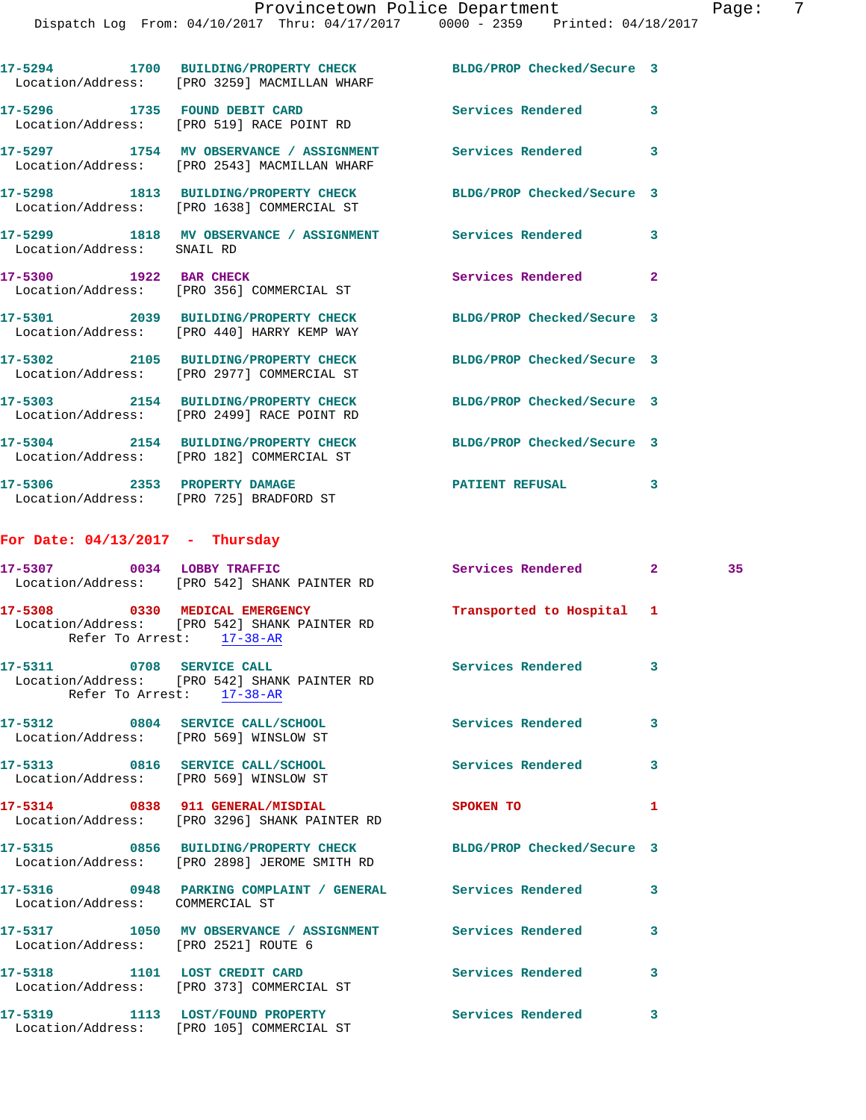|                                   | 17-5294 1700 BUILDING/PROPERTY CHECK BLDG/PROP Checked/Secure 3<br>Location/Address: [PRO 3259] MACMILLAN WHARF |                            |              |    |
|-----------------------------------|-----------------------------------------------------------------------------------------------------------------|----------------------------|--------------|----|
|                                   | 17-5296 1735 FOUND DEBIT CARD<br>Location/Address: [PRO 519] RACE POINT RD                                      | <b>Services Rendered</b>   | 3            |    |
|                                   | 17-5297 1754 MV OBSERVANCE / ASSIGNMENT Services Rendered<br>Location/Address: [PRO 2543] MACMILLAN WHARF       |                            | 3            |    |
|                                   | 17-5298 1813 BUILDING/PROPERTY CHECK BLDG/PROP Checked/Secure 3<br>Location/Address: [PRO 1638] COMMERCIAL ST   |                            |              |    |
| Location/Address: SNAIL RD        | 17-5299 1818 MV OBSERVANCE / ASSIGNMENT Services Rendered                                                       |                            | 3            |    |
| 17-5300 1922 BAR CHECK            | Location/Address: [PRO 356] COMMERCIAL ST                                                                       | Services Rendered          | $\mathbf{2}$ |    |
|                                   | 17-5301 2039 BUILDING/PROPERTY CHECK<br>Location/Address: [PRO 440] HARRY KEMP WAY                              | BLDG/PROP Checked/Secure 3 |              |    |
|                                   | 17-5302 2105 BUILDING/PROPERTY CHECK<br>Location/Address: [PRO 2977] COMMERCIAL ST                              | BLDG/PROP Checked/Secure 3 |              |    |
|                                   | 17-5303 2154 BUILDING/PROPERTY CHECK<br>Location/Address: [PRO 2499] RACE POINT RD                              | BLDG/PROP Checked/Secure 3 |              |    |
|                                   | 17-5304 2154 BUILDING/PROPERTY CHECK<br>Location/Address: [PRO 182] COMMERCIAL ST                               | BLDG/PROP Checked/Secure 3 |              |    |
|                                   | 17-5306 2353 PROPERTY DAMAGE<br>Location/Address: [PRO 725] BRADFORD ST                                         | PATIENT REFUSAL 3          |              |    |
| For Date: $04/13/2017$ - Thursday |                                                                                                                 |                            |              |    |
|                                   | 17-5307 0034 LOBBY TRAFFIC<br>Location/Address: [PRO 542] SHANK PAINTER RD                                      | Services Rendered 2        |              | 35 |
| Refer To Arrest: 17-38-AR         | 17-5308 0330 MEDICAL EMERGENCY<br>Location/Address: [PRO 542] SHANK PAINTER RD                                  | Transported to Hospital 1  |              |    |
| 17-5311 0708 SERVICE CALL         | Location/Address: [PRO 542] SHANK PAINTER RD<br>Refer To Arrest: 17-38-AR                                       | Services Rendered 3        |              |    |
|                                   | 17-5312 0804 SERVICE CALL/SCHOOL<br>Location/Address: [PRO 569] WINSLOW ST                                      | <b>Services Rendered</b>   | 3            |    |
|                                   | 17-5313 0816 SERVICE CALL/SCHOOL<br>Location/Address: [PRO 569] WINSLOW ST                                      | <b>Services Rendered</b>   | 3            |    |
|                                   | 17-5314 0838 911 GENERAL/MISDIAL<br>Location/Address: [PRO 3296] SHANK PAINTER RD                               | SPOKEN TO                  | 1            |    |
|                                   | 17-5315 0856 BUILDING/PROPERTY CHECK BLDG/PROP Checked/Secure 3<br>Location/Address: [PRO 2898] JEROME SMITH RD |                            |              |    |
|                                   | 17-5316       0948   PARKING COMPLAINT / GENERAL      Services Rendered                                         |                            | 3            |    |

**17-5317 1050 MV OBSERVANCE / ASSIGNMENT Services Rendered 3** 

**17-5318 1101 LOST CREDIT CARD Services Rendered 3** 

**17-5319 1113 LOST/FOUND PROPERTY Services Rendered 3** 

Location/Address: COMMERCIAL ST

Location/Address: [PRO 2521] ROUTE 6

Location/Address: [PRO 373] COMMERCIAL ST

Location/Address: [PRO 105] COMMERCIAL ST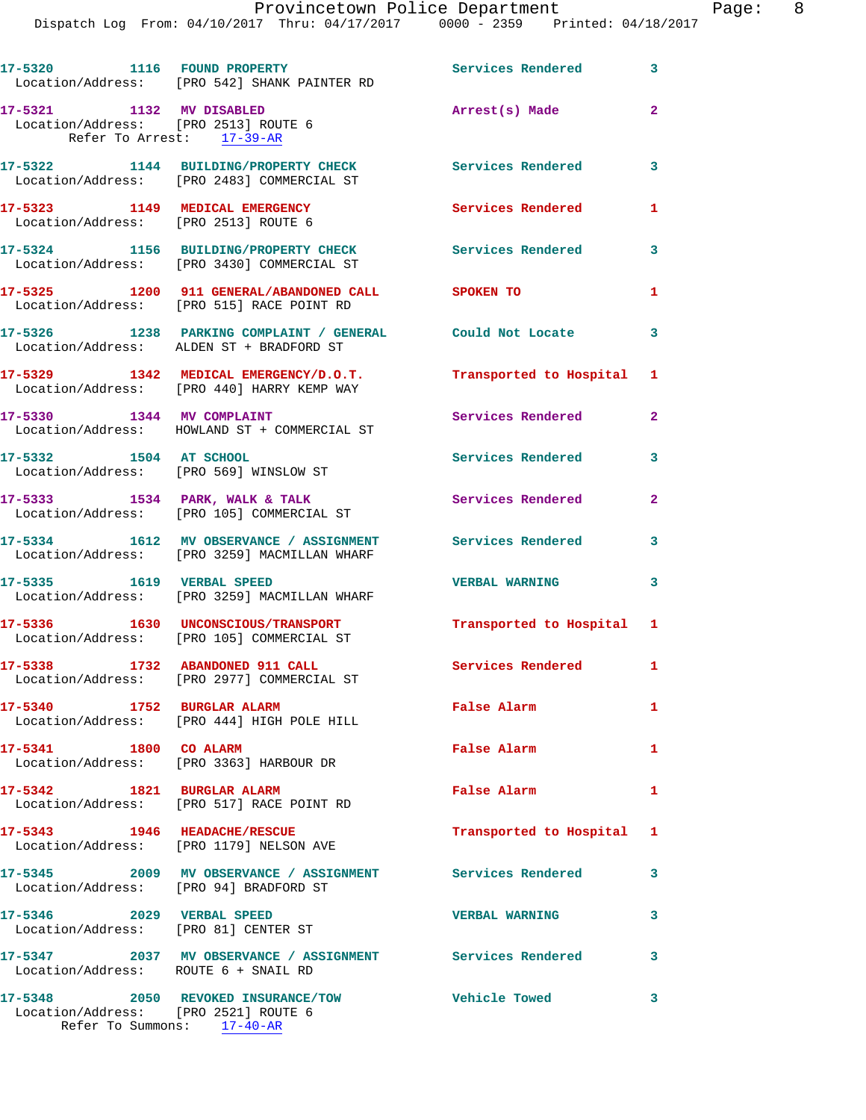Dispatch Log From: 04/10/2017 Thru: 04/17/2017 0000 - 2359 Printed: 04/18/2017

| 17-5320 1116 FOUND PROPERTY<br>Services Rendered 3<br>Location/Address: [PRO 542] SHANK PAINTER RD<br>17-5321 1132 MV DISABLED<br>$\overline{2}$<br>Arrest(s) Made<br>Location/Address: [PRO 2513] ROUTE 6<br>Refer To Arrest: 17-39-AR<br>17-5322 1144 BUILDING/PROPERTY CHECK<br>Services Rendered<br>3<br>Location/Address: [PRO 2483] COMMERCIAL ST<br>17-5323 1149 MEDICAL EMERGENCY<br><b>Services Rendered</b><br>1<br>Location/Address: [PRO 2513] ROUTE 6<br>17-5324 1156 BUILDING/PROPERTY CHECK<br>Services Rendered<br>3<br>Location/Address: [PRO 3430] COMMERCIAL ST<br>17-5325 1200 911 GENERAL/ABANDONED CALL SPOKEN TO<br>$\mathbf{1}$<br>Location/Address: [PRO 515] RACE POINT RD<br>17-5326 1238 PARKING COMPLAINT / GENERAL Could Not Locate<br>$\mathbf{3}$<br>Location/Address: ALDEN ST + BRADFORD ST<br>17-5329 1342 MEDICAL EMERGENCY/D.O.T.<br>Transported to Hospital 1<br>Location/Address: [PRO 440] HARRY KEMP WAY<br>17-5330 1344 MV COMPLAINT<br><b>Services Rendered</b><br>$\overline{2}$<br>Location/Address: HOWLAND ST + COMMERCIAL ST<br>17-5332 1504 AT SCHOOL<br>Services Rendered<br>3<br>Location/Address: [PRO 569] WINSLOW ST<br>$17-5333$ $1534$ PARK, WALK & TALK<br>$\overline{2}$<br>Services Rendered<br>Location/Address: [PRO 105] COMMERCIAL ST<br>17-5334 1612 MV OBSERVANCE / ASSIGNMENT<br>Services Rendered<br>3<br>Location/Address: [PRO 3259] MACMILLAN WHARF<br>17-5335 1619 VERBAL SPEED<br>3<br><b>VERBAL WARNING</b><br>Location/Address: [PRO 3259] MACMILLAN WHARF<br>17-5336 1630 UNCONSCIOUS/TRANSPORT<br>Transported to Hospital 1<br>Location/Address: [PRO 105] COMMERCIAL ST<br>17-5338 1732 ABANDONED 911 CALL<br><b>Services Rendered</b> 1<br>Location/Address: [PRO 2977] COMMERCIAL ST<br>17-5340 1752 BURGLAR ALARM<br>False Alarm<br>$\mathbf{1}$<br>Location/Address: [PRO 444] HIGH POLE HILL<br>17-5341 1800 CO ALARM<br>False Alarm<br>$\mathbf{1}$<br>Location/Address: [PRO 3363] HARBOUR DR<br>17-5342 1821 BURGLAR ALARM<br>False Alarm<br>1<br>Location/Address: [PRO 517] RACE POINT RD<br>17-5343 1946 HEADACHE/RESCUE<br>Transported to Hospital 1<br>Location/Address: [PRO 1179] NELSON AVE<br>3<br>17-5346 2029 VERBAL SPEED<br>3<br><b>VERBAL WARNING</b><br>Location/Address: [PRO 81] CENTER ST<br>17-5347 2037 MV OBSERVANCE / ASSIGNMENT Services Rendered<br>3<br>Location/Address: ROUTE 6 + SNAIL RD<br>17-5348 2050 REVOKED INSURANCE/TOW<br><b>Vehicle Towed</b><br>3<br>Location/Address: [PRO 2521] ROUTE 6<br>Refer To Summons: 17-40-AR |  |  |
|-----------------------------------------------------------------------------------------------------------------------------------------------------------------------------------------------------------------------------------------------------------------------------------------------------------------------------------------------------------------------------------------------------------------------------------------------------------------------------------------------------------------------------------------------------------------------------------------------------------------------------------------------------------------------------------------------------------------------------------------------------------------------------------------------------------------------------------------------------------------------------------------------------------------------------------------------------------------------------------------------------------------------------------------------------------------------------------------------------------------------------------------------------------------------------------------------------------------------------------------------------------------------------------------------------------------------------------------------------------------------------------------------------------------------------------------------------------------------------------------------------------------------------------------------------------------------------------------------------------------------------------------------------------------------------------------------------------------------------------------------------------------------------------------------------------------------------------------------------------------------------------------------------------------------------------------------------------------------------------------------------------------------------------------------------------------------------------------------------------------------------------------------------------------------------------------------------------------------------------------------------------------------------------------------------------------------------------------------------------------------------------------------------------------------------------------------------------------------------------------------------------------------------------------------------|--|--|
|                                                                                                                                                                                                                                                                                                                                                                                                                                                                                                                                                                                                                                                                                                                                                                                                                                                                                                                                                                                                                                                                                                                                                                                                                                                                                                                                                                                                                                                                                                                                                                                                                                                                                                                                                                                                                                                                                                                                                                                                                                                                                                                                                                                                                                                                                                                                                                                                                                                                                                                                                     |  |  |
|                                                                                                                                                                                                                                                                                                                                                                                                                                                                                                                                                                                                                                                                                                                                                                                                                                                                                                                                                                                                                                                                                                                                                                                                                                                                                                                                                                                                                                                                                                                                                                                                                                                                                                                                                                                                                                                                                                                                                                                                                                                                                                                                                                                                                                                                                                                                                                                                                                                                                                                                                     |  |  |
|                                                                                                                                                                                                                                                                                                                                                                                                                                                                                                                                                                                                                                                                                                                                                                                                                                                                                                                                                                                                                                                                                                                                                                                                                                                                                                                                                                                                                                                                                                                                                                                                                                                                                                                                                                                                                                                                                                                                                                                                                                                                                                                                                                                                                                                                                                                                                                                                                                                                                                                                                     |  |  |
|                                                                                                                                                                                                                                                                                                                                                                                                                                                                                                                                                                                                                                                                                                                                                                                                                                                                                                                                                                                                                                                                                                                                                                                                                                                                                                                                                                                                                                                                                                                                                                                                                                                                                                                                                                                                                                                                                                                                                                                                                                                                                                                                                                                                                                                                                                                                                                                                                                                                                                                                                     |  |  |
|                                                                                                                                                                                                                                                                                                                                                                                                                                                                                                                                                                                                                                                                                                                                                                                                                                                                                                                                                                                                                                                                                                                                                                                                                                                                                                                                                                                                                                                                                                                                                                                                                                                                                                                                                                                                                                                                                                                                                                                                                                                                                                                                                                                                                                                                                                                                                                                                                                                                                                                                                     |  |  |
|                                                                                                                                                                                                                                                                                                                                                                                                                                                                                                                                                                                                                                                                                                                                                                                                                                                                                                                                                                                                                                                                                                                                                                                                                                                                                                                                                                                                                                                                                                                                                                                                                                                                                                                                                                                                                                                                                                                                                                                                                                                                                                                                                                                                                                                                                                                                                                                                                                                                                                                                                     |  |  |
|                                                                                                                                                                                                                                                                                                                                                                                                                                                                                                                                                                                                                                                                                                                                                                                                                                                                                                                                                                                                                                                                                                                                                                                                                                                                                                                                                                                                                                                                                                                                                                                                                                                                                                                                                                                                                                                                                                                                                                                                                                                                                                                                                                                                                                                                                                                                                                                                                                                                                                                                                     |  |  |
|                                                                                                                                                                                                                                                                                                                                                                                                                                                                                                                                                                                                                                                                                                                                                                                                                                                                                                                                                                                                                                                                                                                                                                                                                                                                                                                                                                                                                                                                                                                                                                                                                                                                                                                                                                                                                                                                                                                                                                                                                                                                                                                                                                                                                                                                                                                                                                                                                                                                                                                                                     |  |  |
|                                                                                                                                                                                                                                                                                                                                                                                                                                                                                                                                                                                                                                                                                                                                                                                                                                                                                                                                                                                                                                                                                                                                                                                                                                                                                                                                                                                                                                                                                                                                                                                                                                                                                                                                                                                                                                                                                                                                                                                                                                                                                                                                                                                                                                                                                                                                                                                                                                                                                                                                                     |  |  |
|                                                                                                                                                                                                                                                                                                                                                                                                                                                                                                                                                                                                                                                                                                                                                                                                                                                                                                                                                                                                                                                                                                                                                                                                                                                                                                                                                                                                                                                                                                                                                                                                                                                                                                                                                                                                                                                                                                                                                                                                                                                                                                                                                                                                                                                                                                                                                                                                                                                                                                                                                     |  |  |
|                                                                                                                                                                                                                                                                                                                                                                                                                                                                                                                                                                                                                                                                                                                                                                                                                                                                                                                                                                                                                                                                                                                                                                                                                                                                                                                                                                                                                                                                                                                                                                                                                                                                                                                                                                                                                                                                                                                                                                                                                                                                                                                                                                                                                                                                                                                                                                                                                                                                                                                                                     |  |  |
|                                                                                                                                                                                                                                                                                                                                                                                                                                                                                                                                                                                                                                                                                                                                                                                                                                                                                                                                                                                                                                                                                                                                                                                                                                                                                                                                                                                                                                                                                                                                                                                                                                                                                                                                                                                                                                                                                                                                                                                                                                                                                                                                                                                                                                                                                                                                                                                                                                                                                                                                                     |  |  |
|                                                                                                                                                                                                                                                                                                                                                                                                                                                                                                                                                                                                                                                                                                                                                                                                                                                                                                                                                                                                                                                                                                                                                                                                                                                                                                                                                                                                                                                                                                                                                                                                                                                                                                                                                                                                                                                                                                                                                                                                                                                                                                                                                                                                                                                                                                                                                                                                                                                                                                                                                     |  |  |
|                                                                                                                                                                                                                                                                                                                                                                                                                                                                                                                                                                                                                                                                                                                                                                                                                                                                                                                                                                                                                                                                                                                                                                                                                                                                                                                                                                                                                                                                                                                                                                                                                                                                                                                                                                                                                                                                                                                                                                                                                                                                                                                                                                                                                                                                                                                                                                                                                                                                                                                                                     |  |  |
|                                                                                                                                                                                                                                                                                                                                                                                                                                                                                                                                                                                                                                                                                                                                                                                                                                                                                                                                                                                                                                                                                                                                                                                                                                                                                                                                                                                                                                                                                                                                                                                                                                                                                                                                                                                                                                                                                                                                                                                                                                                                                                                                                                                                                                                                                                                                                                                                                                                                                                                                                     |  |  |
|                                                                                                                                                                                                                                                                                                                                                                                                                                                                                                                                                                                                                                                                                                                                                                                                                                                                                                                                                                                                                                                                                                                                                                                                                                                                                                                                                                                                                                                                                                                                                                                                                                                                                                                                                                                                                                                                                                                                                                                                                                                                                                                                                                                                                                                                                                                                                                                                                                                                                                                                                     |  |  |
|                                                                                                                                                                                                                                                                                                                                                                                                                                                                                                                                                                                                                                                                                                                                                                                                                                                                                                                                                                                                                                                                                                                                                                                                                                                                                                                                                                                                                                                                                                                                                                                                                                                                                                                                                                                                                                                                                                                                                                                                                                                                                                                                                                                                                                                                                                                                                                                                                                                                                                                                                     |  |  |
|                                                                                                                                                                                                                                                                                                                                                                                                                                                                                                                                                                                                                                                                                                                                                                                                                                                                                                                                                                                                                                                                                                                                                                                                                                                                                                                                                                                                                                                                                                                                                                                                                                                                                                                                                                                                                                                                                                                                                                                                                                                                                                                                                                                                                                                                                                                                                                                                                                                                                                                                                     |  |  |
|                                                                                                                                                                                                                                                                                                                                                                                                                                                                                                                                                                                                                                                                                                                                                                                                                                                                                                                                                                                                                                                                                                                                                                                                                                                                                                                                                                                                                                                                                                                                                                                                                                                                                                                                                                                                                                                                                                                                                                                                                                                                                                                                                                                                                                                                                                                                                                                                                                                                                                                                                     |  |  |
|                                                                                                                                                                                                                                                                                                                                                                                                                                                                                                                                                                                                                                                                                                                                                                                                                                                                                                                                                                                                                                                                                                                                                                                                                                                                                                                                                                                                                                                                                                                                                                                                                                                                                                                                                                                                                                                                                                                                                                                                                                                                                                                                                                                                                                                                                                                                                                                                                                                                                                                                                     |  |  |
|                                                                                                                                                                                                                                                                                                                                                                                                                                                                                                                                                                                                                                                                                                                                                                                                                                                                                                                                                                                                                                                                                                                                                                                                                                                                                                                                                                                                                                                                                                                                                                                                                                                                                                                                                                                                                                                                                                                                                                                                                                                                                                                                                                                                                                                                                                                                                                                                                                                                                                                                                     |  |  |
|                                                                                                                                                                                                                                                                                                                                                                                                                                                                                                                                                                                                                                                                                                                                                                                                                                                                                                                                                                                                                                                                                                                                                                                                                                                                                                                                                                                                                                                                                                                                                                                                                                                                                                                                                                                                                                                                                                                                                                                                                                                                                                                                                                                                                                                                                                                                                                                                                                                                                                                                                     |  |  |
|                                                                                                                                                                                                                                                                                                                                                                                                                                                                                                                                                                                                                                                                                                                                                                                                                                                                                                                                                                                                                                                                                                                                                                                                                                                                                                                                                                                                                                                                                                                                                                                                                                                                                                                                                                                                                                                                                                                                                                                                                                                                                                                                                                                                                                                                                                                                                                                                                                                                                                                                                     |  |  |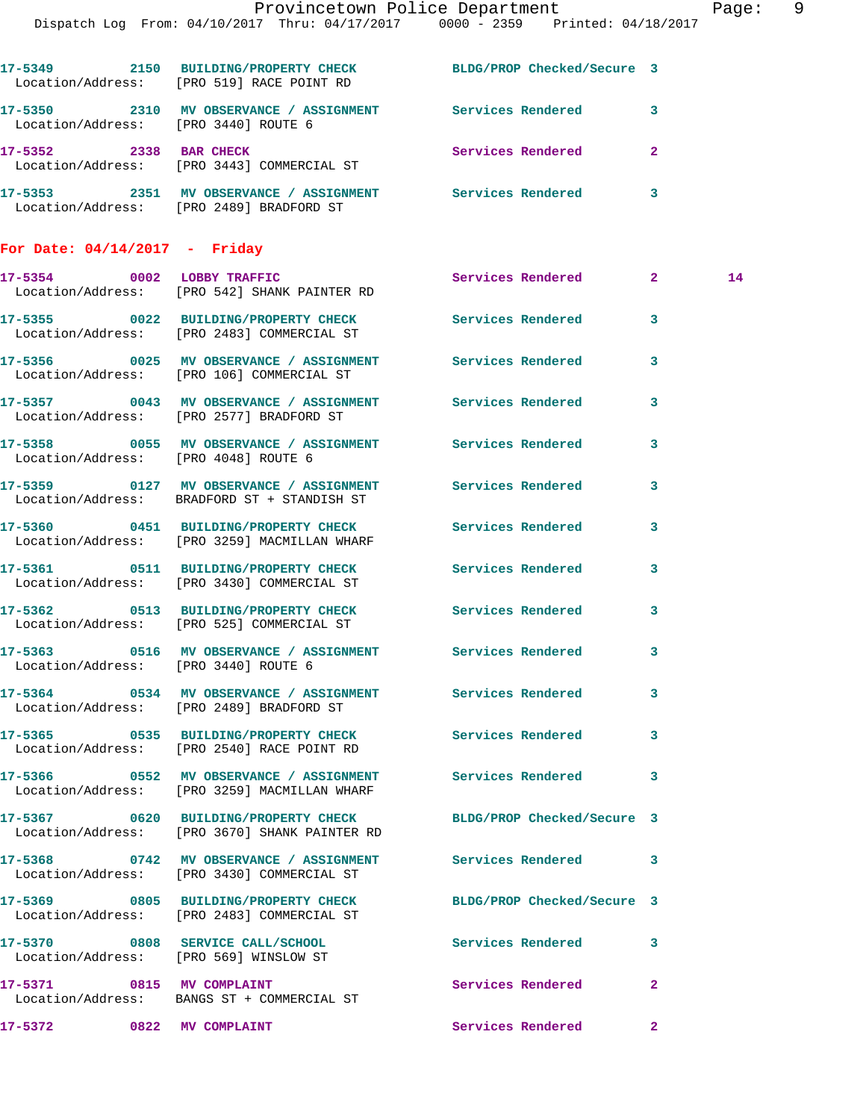|                                      |                                                                            | Provincetown Police Department<br>Dispatch Log From: 04/10/2017 Thru: 04/17/2017 0000 - 2359 Printed: 04/18/2017 |              | Page: 9 |  |
|--------------------------------------|----------------------------------------------------------------------------|------------------------------------------------------------------------------------------------------------------|--------------|---------|--|
|                                      | Location/Address: [PRO 519] RACE POINT RD                                  | 17-5349 2150 BUILDING/PROPERTY CHECK BLDG/PROP Checked/Secure 3                                                  |              |         |  |
| Location/Address: [PRO 3440] ROUTE 6 |                                                                            | 17-5350 2310 MV OBSERVANCE / ASSIGNMENT Services Rendered 3                                                      |              |         |  |
|                                      | 17-5352 2338 BAR CHECK<br>Location/Address: [PRO 3443] COMMERCIAL ST       | Services Rendered 2                                                                                              |              |         |  |
|                                      | Location/Address: [PRO 2489] BRADFORD ST                                   | 17-5353 2351 MV OBSERVANCE / ASSIGNMENT Services Rendered 3                                                      |              |         |  |
| For Date: $04/14/2017$ - Friday      |                                                                            |                                                                                                                  |              |         |  |
|                                      | 17-5354 0002 LOBBY TRAFFIC<br>Location/Address: [PRO 542] SHANK PAINTER RD | Services Rendered 2                                                                                              |              | 14      |  |
|                                      | Location/Address: [PRO 2483] COMMERCIAL ST                                 | 17-5355 0022 BUILDING/PROPERTY CHECK Services Rendered 3                                                         |              |         |  |
|                                      | Location/Address: [PRO 106] COMMERCIAL ST                                  | 17-5356 0025 MV OBSERVANCE / ASSIGNMENT Services Rendered 3                                                      |              |         |  |
|                                      | Location/Address: [PRO 2577] BRADFORD ST                                   | 17-5357 0043 MV OBSERVANCE / ASSIGNMENT Services Rendered 3                                                      |              |         |  |
| Location/Address: [PRO 4048] ROUTE 6 |                                                                            | 17-5358 0055 MV OBSERVANCE / ASSIGNMENT Services Rendered 3                                                      |              |         |  |
|                                      | Location/Address: BRADFORD ST + STANDISH ST                                | 17-5359 0127 MV OBSERVANCE / ASSIGNMENT Services Rendered 3                                                      |              |         |  |
|                                      | Location/Address: [PRO 3259] MACMILLAN WHARF                               | 17-5360 0451 BUILDING/PROPERTY CHECK Services Rendered                                                           | $\mathbf{3}$ |         |  |
|                                      | Location/Address: [PRO 3430] COMMERCIAL ST                                 | 17-5361 0511 BUILDING/PROPERTY CHECK Services Rendered                                                           | 3            |         |  |
|                                      | Location/Address: [PRO 525] COMMERCIAL ST                                  | 17-5362 0513 BUILDING/PROPERTY CHECK Services Rendered 3                                                         |              |         |  |
| Location/Address: [PRO 3440] ROUTE 6 |                                                                            | 17-5363 0516 MV OBSERVANCE / ASSIGNMENT Services Rendered 3                                                      |              |         |  |
|                                      | Location/Address: [PRO 2489] BRADFORD ST                                   | 17-5364 0534 MV OBSERVANCE / ASSIGNMENT Services Rendered 3                                                      |              |         |  |
|                                      | Location/Address: [PRO 2540] RACE POINT RD                                 | 17-5365 0535 BUILDING/PROPERTY CHECK Services Rendered 3                                                         |              |         |  |
|                                      | Location/Address: [PRO 3259] MACMILLAN WHARF                               | 17-5366 6 0552 MV OBSERVANCE / ASSIGNMENT Services Rendered 3                                                    |              |         |  |
|                                      | Location/Address: [PRO 3670] SHANK PAINTER RD                              | 17-5367 0620 BUILDING/PROPERTY CHECK BLDG/PROP Checked/Secure 3                                                  |              |         |  |
|                                      | Location/Address: [PRO 3430] COMMERCIAL ST                                 | 17-5368 0742 MV OBSERVANCE / ASSIGNMENT Services Rendered 3                                                      |              |         |  |
|                                      | Location/Address: [PRO 2483] COMMERCIAL ST                                 | 17-5369 0805 BUILDING/PROPERTY CHECK BLDG/PROP Checked/Secure 3                                                  |              |         |  |
|                                      | 17-5370 0808 SERVICE CALL/SCHOOL<br>Location/Address: [PRO 569] WINSLOW ST | Services Rendered 3                                                                                              |              |         |  |
|                                      | 17-5371 0815 MV COMPLAINT<br>Location/Address: BANGS ST + COMMERCIAL ST    | Services Rendered 2                                                                                              |              |         |  |

**17-5372 0822 MV COMPLAINT Services Rendered 2**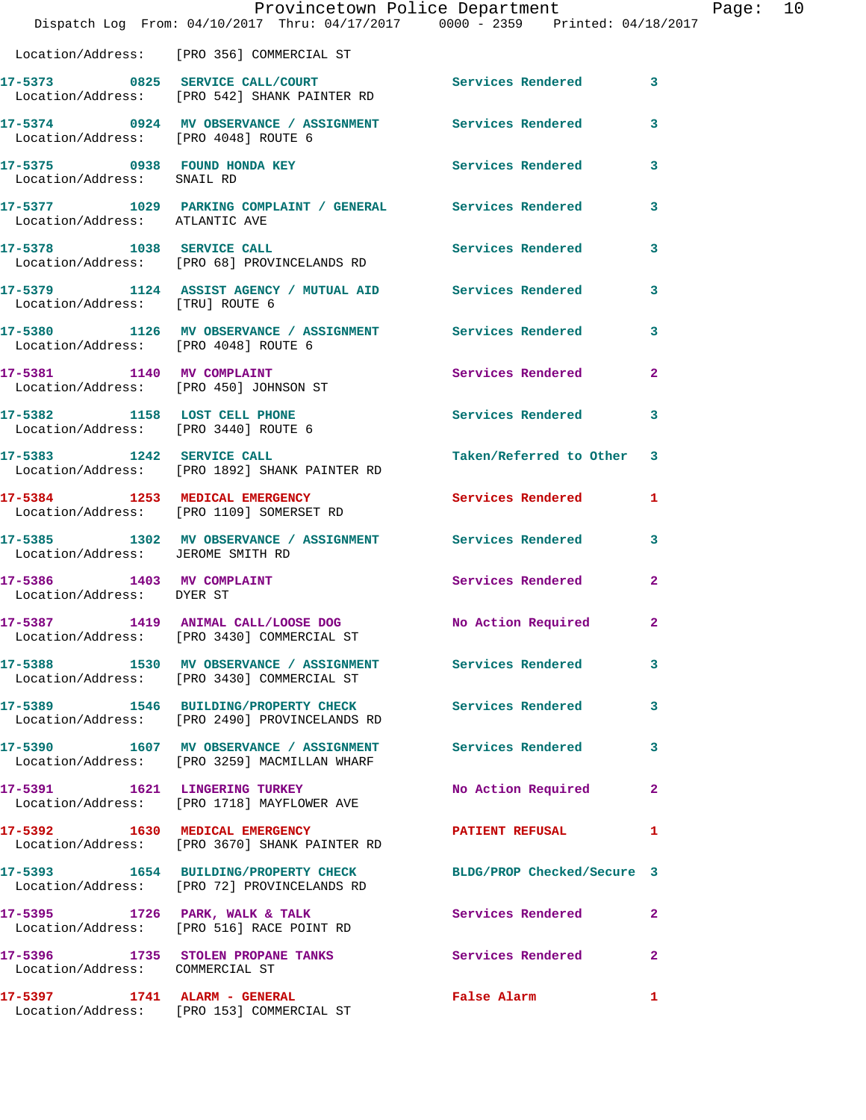|                                                                      | Provincetown Police Department<br>Dispatch Log From: 04/10/2017 Thru: 04/17/2017 0000 - 2359 Printed: 04/18/2017 |                          | Ρa             |
|----------------------------------------------------------------------|------------------------------------------------------------------------------------------------------------------|--------------------------|----------------|
|                                                                      | Location/Address: [PRO 356] COMMERCIAL ST                                                                        |                          |                |
|                                                                      | 17-5373 0825 SERVICE CALL/COURT Services Rendered<br>Location/Address: [PRO 542] SHANK PAINTER RD                |                          | 3              |
| Location/Address: [PRO 4048] ROUTE 6                                 | 17-5374 0924 MV OBSERVANCE / ASSIGNMENT Services Rendered                                                        |                          | 3              |
| 17-5375 0938 FOUND HONDA KEY<br>Location/Address: SNAIL RD           |                                                                                                                  | Services Rendered        | 3              |
| Location/Address: ATLANTIC AVE                                       | 17-5377 1029 PARKING COMPLAINT / GENERAL Services Rendered                                                       |                          | 3              |
|                                                                      | 17-5378 1038 SERVICE CALL<br>Location/Address: [PRO 68] PROVINCELANDS RD                                         | Services Rendered        | 3              |
| Location/Address: [TRU] ROUTE 6                                      | 17-5379 1124 ASSIST AGENCY / MUTUAL AID Services Rendered                                                        |                          | 3              |
| Location/Address: [PRO 4048] ROUTE 6                                 | 17-5380 1126 MV OBSERVANCE / ASSIGNMENT Services Rendered                                                        |                          | 3              |
|                                                                      | 17-5381 1140 MV COMPLAINT<br>Location/Address: [PRO 450] JOHNSON ST                                              | Services Rendered        | $\overline{2}$ |
| 17-5382 1158 LOST CELL PHONE<br>Location/Address: [PRO 3440] ROUTE 6 |                                                                                                                  | Services Rendered        | 3              |
|                                                                      | 17-5383 1242 SERVICE CALL<br>Location/Address: [PRO 1892] SHANK PAINTER RD                                       | Taken/Referred to Other  | 3              |
|                                                                      | 17-5384 1253 MEDICAL EMERGENCY<br>Location/Address: [PRO 1109] SOMERSET RD                                       | Services Rendered        | 1              |
| Location/Address: JEROME SMITH RD                                    | 17-5385 1302 MV OBSERVANCE / ASSIGNMENT Services Rendered                                                        |                          | 3              |
| 17-5386 1403 MV COMPLAINT<br>Location/Address: DYER ST               |                                                                                                                  | <b>Services Rendered</b> | $\overline{2}$ |
|                                                                      | 17-5387 1419 ANIMAL CALL/LOOSE DOG No Action Required<br>Location/Address: [PRO 3430] COMMERCIAL ST              |                          | $\overline{a}$ |
|                                                                      | 17-5388 1530 MV OBSERVANCE / ASSIGNMENT Services Rendered<br>Location/Address: [PRO 3430] COMMERCIAL ST          |                          | 3              |
|                                                                      | 17-5389 1546 BUILDING/PROPERTY CHECK Services Rendered<br>Location/Address: [PRO 2490] PROVINCELANDS RD          |                          | 3              |
|                                                                      | 17-5390 1607 MV OBSERVANCE / ASSIGNMENT Services Rendered<br>Location/Address: [PRO 3259] MACMILLAN WHARF        |                          | 3              |
|                                                                      | 17-5391 1621 LINGERING TURKEY<br>Location/Address: [PRO 1718] MAYFLOWER AVE                                      | No Action Required       | $\overline{2}$ |
|                                                                      | 17-5392 1630 MEDICAL EMERGENCY<br>Location/Address: [PRO 3670] SHANK PAINTER RD                                  | <b>PATIENT REFUSAL</b>   | 1              |
|                                                                      | 17-5393 1654 BUILDING/PROPERTY CHECK BLDG/PROP Checked/Secure 3<br>Location/Address: [PRO 72] PROVINCELANDS RD   |                          |                |
|                                                                      | 17-5395 1726 PARK, WALK & TALK<br>Location/Address: [PRO 516] RACE POINT RD                                      | Services Rendered        | $\overline{2}$ |
| Location/Address: COMMERCIAL ST                                      | 17-5396 1735 STOLEN PROPANE TANKS                                                                                | Services Rendered        | $\overline{2}$ |
|                                                                      | 17-5397 1741 ALARM - GENERAL<br>Location/Address: [PRO 153] COMMERCIAL ST                                        | False Alarm              | 1              |

age: 10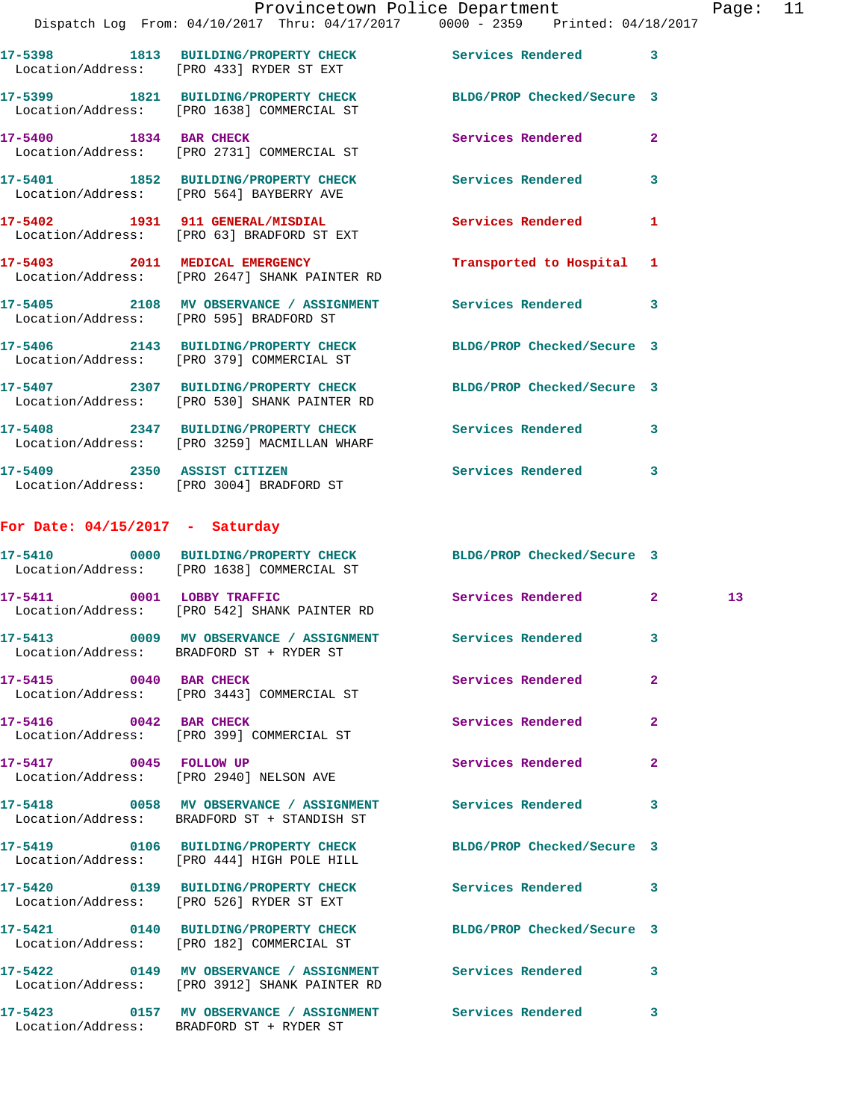|         |      |                                                                            | Provincetown Police Department                                                 | Page: $11$ |
|---------|------|----------------------------------------------------------------------------|--------------------------------------------------------------------------------|------------|
|         |      |                                                                            | Dispatch Log From: 04/10/2017 Thru: 04/17/2017 0000 - 2359 Printed: 04/18/2017 |            |
| 17-5398 | 1813 | <b>BUILDING/PROPERTY CHECK</b><br>Location/Address: [PRO 433] RYDER ST EXT | <b>Services Rendered</b>                                                       |            |
| 17-5399 | 1821 | <b>BUILDING/PROPERTY CHECK</b>                                             | BLDG/PROP Checked/Secure 3                                                     |            |

 Location/Address: [PRO 1638] COMMERCIAL ST **17-5400 1834 BAR CHECK Services Rendered 2**  Location/Address: [PRO 2731] COMMERCIAL ST

**17-5401 1852 BUILDING/PROPERTY CHECK Services Rendered 3**  Location/Address: [PRO 564] BAYBERRY AVE

**17-5402 1931 911 GENERAL/MISDIAL Services Rendered 1**  Location/Address: [PRO 63] BRADFORD ST EXT **17-5403 2011 MEDICAL EMERGENCY Transported to Hospital 1** 

 Location/Address: [PRO 2647] SHANK PAINTER RD **17-5405 2108 MV OBSERVANCE / ASSIGNMENT Services Rendered 3**  Location/Address: [PRO 595] BRADFORD ST

**17-5406 2143 BUILDING/PROPERTY CHECK BLDG/PROP Checked/Secure 3**  Location/Address: [PRO 379] COMMERCIAL ST **17-5407 2307 BUILDING/PROPERTY CHECK BLDG/PROP Checked/Secure 3**  Location/Address: [PRO 530] SHANK PAINTER RD

**17-5408 2347 BUILDING/PROPERTY CHECK Services Rendered 3**  Location/Address: [PRO 3259] MACMILLAN WHARF **17-5409 2350 ASSIST CITIZEN Services Rendered 3**  Location/Address: [PRO 3004] BRADFORD ST

## **For Date: 04/15/2017 - Saturday**

|                        | 17-5410 0000 BUILDING/PROPERTY CHECK BLDG/PROP Checked/Secure 3<br>Location/Address: [PRO 1638] COMMERCIAL ST            |                          |                |    |
|------------------------|--------------------------------------------------------------------------------------------------------------------------|--------------------------|----------------|----|
|                        | 17-5411 0001 LOBBY TRAFFIC<br>Location/Address: [PRO 542] SHANK PAINTER RD                                               | <b>Services Rendered</b> | 2 <sup>1</sup> | 13 |
|                        | 17-5413 6009 MV OBSERVANCE / ASSIGNMENT Services Rendered<br>Location/Address: BRADFORD ST + RYDER ST                    |                          | 3              |    |
|                        | 17-5415 0040 BAR CHECK<br>Location/Address: [PRO 3443] COMMERCIAL ST                                                     | <b>Services Rendered</b> | $\overline{2}$ |    |
| 17-5416 0042 BAR CHECK | Location/Address: [PRO 399] COMMERCIAL ST                                                                                | <b>Services Rendered</b> | $\overline{2}$ |    |
| 17-5417 0045 FOLLOW UP | Location/Address: [PRO 2940] NELSON AVE                                                                                  | Services Rendered        | $\overline{2}$ |    |
|                        | 17-5418 0058 MV OBSERVANCE / ASSIGNMENT Services Rendered<br>Location/Address: BRADFORD ST + STANDISH ST                 |                          | 3              |    |
|                        | 17-5419 		 0106 BUILDING/PROPERTY CHECK 			BLDG/PROP Checked/Secure 3<br>Location/Address: [PRO 444] HIGH POLE HILL      |                          |                |    |
|                        | 17-5420 0139 BUILDING/PROPERTY CHECK Services Rendered<br>Location/Address: [PRO 526] RYDER ST EXT                       |                          | 3              |    |
|                        | 17-5421 0140 BUILDING/PROPERTY CHECK BLDG/PROP Checked/Secure 3<br>Location/Address: [PRO 182] COMMERCIAL ST             |                          |                |    |
|                        | 17-5422       0149   MV OBSERVANCE / ASSIGNMENT       Services Rendered<br>Location/Address: [PRO 3912] SHANK PAINTER RD |                          | $\mathbf{3}$   |    |
|                        | Location/Address: BRADFORD ST + RYDER ST                                                                                 |                          | 3              |    |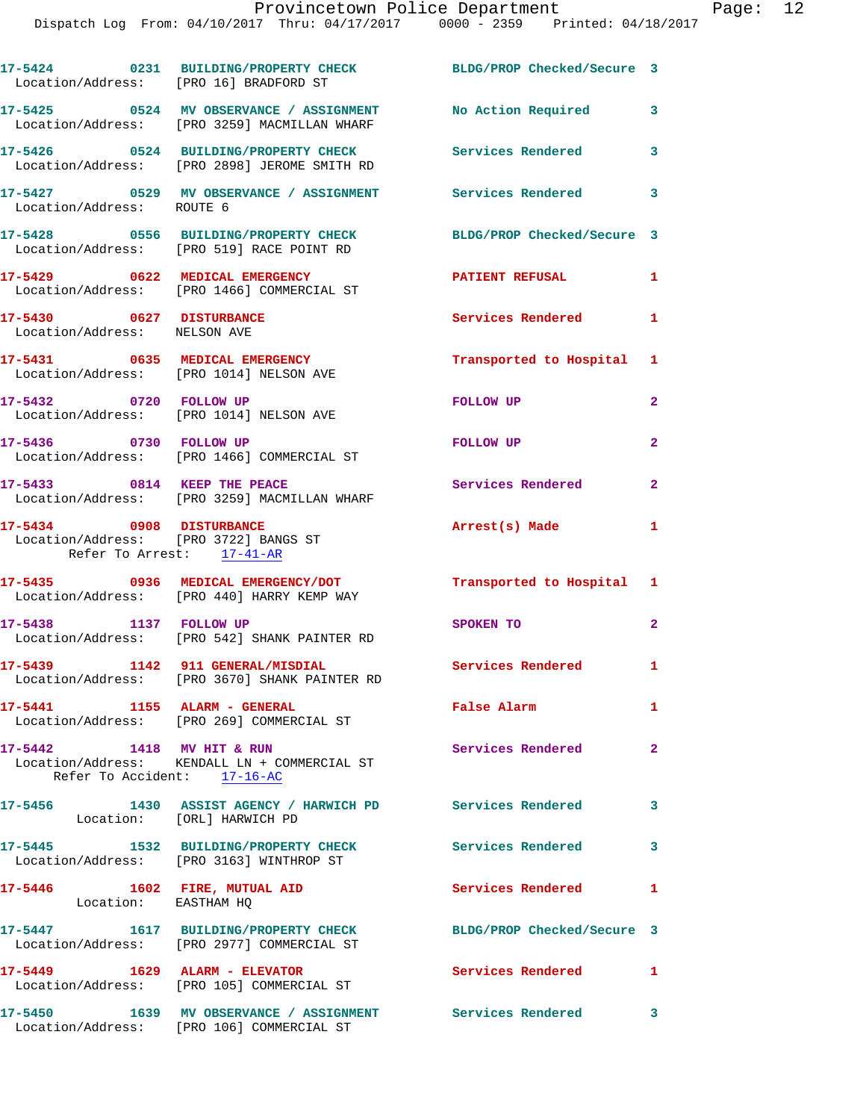| Location/Address: [PRO 16] BRADFORD ST                                                         | 17-5424 0231 BUILDING/PROPERTY CHECK BLDG/PROP Checked/Secure 3                                          |                            |                |
|------------------------------------------------------------------------------------------------|----------------------------------------------------------------------------------------------------------|----------------------------|----------------|
|                                                                                                |                                                                                                          | No Action Required         | 3              |
|                                                                                                | 17-5426 0524 BUILDING/PROPERTY CHECK<br>Location/Address: [PRO 2898] JEROME SMITH RD                     | <b>Services Rendered</b>   | 3              |
| Location/Address: ROUTE 6                                                                      | 17-5427 6529 MV OBSERVANCE / ASSIGNMENT Services Rendered                                                |                            | 3              |
|                                                                                                | 17-5428 0556 BUILDING/PROPERTY CHECK<br>Location/Address: [PRO 519] RACE POINT RD                        | BLDG/PROP Checked/Secure 3 |                |
|                                                                                                | 17-5429 0622 MEDICAL EMERGENCY<br>Location/Address: [PRO 1466] COMMERCIAL ST                             | <b>PATIENT REFUSAL</b>     | 1              |
| 17-5430 0627 DISTURBANCE<br>Location/Address: NELSON AVE                                       |                                                                                                          | Services Rendered          | $\mathbf{1}$   |
| Location/Address: [PRO 1014] NELSON AVE                                                        | 17-5431 0635 MEDICAL EMERGENCY                                                                           | Transported to Hospital 1  |                |
| 17-5432 0720 FOLLOW UP<br>Location/Address: [PRO 1014] NELSON AVE                              |                                                                                                          | FOLLOW UP                  | $\overline{2}$ |
| 17-5436 0730 FOLLOW UP                                                                         | Location/Address: [PRO 1466] COMMERCIAL ST                                                               | FOLLOW UP                  | $\mathbf{2}$   |
|                                                                                                | 17-5433 0814 KEEP THE PEACE<br>Location/Address: [PRO 3259] MACMILLAN WHARF                              | Services Rendered          | $\mathbf{2}$   |
| 17-5434 0908 DISTURBANCE<br>Location/Address: [PRO 3722] BANGS ST<br>Refer To Arrest: 17-41-AR |                                                                                                          | Arrest(s) Made             | $\mathbf{1}$   |
|                                                                                                | 17-5435 0936 MEDICAL EMERGENCY/DOT<br>Location/Address: [PRO 440] HARRY KEMP WAY                         | Transported to Hospital 1  |                |
| 17-5438 1137 FOLLOW UP                                                                         | Location/Address: [PRO 542] SHANK PAINTER RD                                                             | SPOKEN TO                  | $\mathbf{2}$   |
| 17-5439 1142 911 GENERAL/MISDIAL                                                               | Location/Address: [PRO 3670] SHANK PAINTER RD                                                            | Services Rendered 1        |                |
| 17-5441 1155 ALARM - GENERAL                                                                   | Location/Address: [PRO 269] COMMERCIAL ST                                                                | False Alarm                | $\mathbf{1}$   |
| 17-5442 1418 MV HIT & RUN<br>Refer To Accident: 17-16-AC                                       | Location/Address: KENDALL LN + COMMERCIAL ST                                                             | <b>Services Rendered</b>   | $\mathbf{2}$   |
| 17-5456                                                                                        | 1430 ASSIST AGENCY / HARWICH PD Services Rendered 3<br>Location: [ORL] HARWICH PD                        |                            |                |
| 17-5445                                                                                        | 1532 BUILDING/PROPERTY CHECK<br>Location/Address: [PRO 3163] WINTHROP ST                                 | Services Rendered          | 3              |
| 17-5446 1602 FIRE, MUTUAL AID<br>Location: EASTHAM HQ                                          |                                                                                                          | <b>Services Rendered</b>   | $\mathbf{1}$   |
|                                                                                                | 17-5447 1617 BUILDING/PROPERTY CHECK<br>Location/Address: [PRO 2977] COMMERCIAL ST                       | BLDG/PROP Checked/Secure 3 |                |
|                                                                                                | 17-5449 1629 ALARM - ELEVATOR<br>Location/Address: [PRO 105] COMMERCIAL ST                               | Services Rendered 1        |                |
|                                                                                                | 17-5450 1639 MV OBSERVANCE / ASSIGNMENT Services Rendered 3<br>Location/Address: [PRO 106] COMMERCIAL ST |                            |                |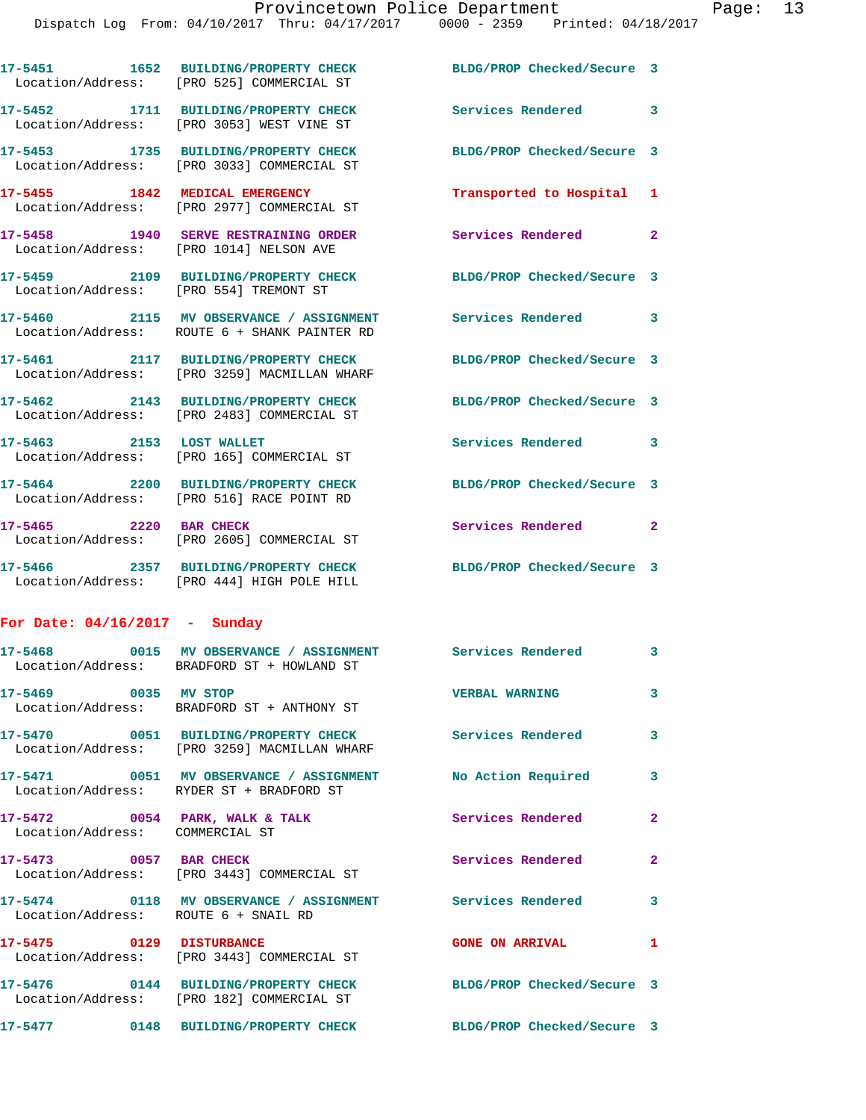**17-5451 1652 BUILDING/PROPERTY CHECK BLDG/PROP Checked/Secure 3** 

Location/Address: [PRO 525] COMMERCIAL ST

Location/Address: [PRO 182] COMMERCIAL ST

|                                                                   | 17-5452 1711 BUILDING/PROPERTY CHECK<br>Location/Address: [PRO 3053] WEST VINE ST                        | Services Rendered 3        |                         |
|-------------------------------------------------------------------|----------------------------------------------------------------------------------------------------------|----------------------------|-------------------------|
|                                                                   | 17-5453 1735 BUILDING/PROPERTY CHECK<br>Location/Address: [PRO 3033] COMMERCIAL ST                       | BLDG/PROP Checked/Secure 3 |                         |
| 17-5455 1842 MEDICAL EMERGENCY                                    | Location/Address: [PRO 2977] COMMERCIAL ST                                                               | Transported to Hospital 1  |                         |
| Location/Address: [PRO 1014] NELSON AVE                           | 17-5458 1940 SERVE RESTRAINING ORDER                                                                     | Services Rendered          | $\mathbf{2}$            |
| Location/Address: [PRO 554] TREMONT ST                            | 17-5459 2109 BUILDING/PROPERTY CHECK                                                                     | BLDG/PROP Checked/Secure 3 |                         |
|                                                                   | 17-5460 2115 MV OBSERVANCE / ASSIGNMENT<br>Location/Address: ROUTE 6 + SHANK PAINTER RD                  | Services Rendered 3        |                         |
|                                                                   | 17-5461 2117 BUILDING/PROPERTY CHECK<br>Location/Address: [PRO 3259] MACMILLAN WHARF                     | BLDG/PROP Checked/Secure 3 |                         |
|                                                                   | 17-5462 2143 BUILDING/PROPERTY CHECK<br>Location/Address: [PRO 2483] COMMERCIAL ST                       | BLDG/PROP Checked/Secure 3 |                         |
| 17-5463 2153 LOST WALLET<br>Location/Address:                     | [PRO 165] COMMERCIAL ST                                                                                  | <b>Services Rendered</b>   | $\overline{\mathbf{3}}$ |
|                                                                   | 17-5464 2200 BUILDING/PROPERTY CHECK<br>Location/Address: [PRO 516] RACE POINT RD                        | BLDG/PROP Checked/Secure 3 |                         |
| 17-5465 2220 BAR CHECK                                            | Location/Address: [PRO 2605] COMMERCIAL ST                                                               | Services Rendered 2        |                         |
|                                                                   | 17-5466 2357 BUILDING/PROPERTY CHECK<br>Location/Address: [PRO 444] HIGH POLE HILL                       | BLDG/PROP Checked/Secure 3 |                         |
| For Date: $04/16/2017$ - Sunday                                   |                                                                                                          |                            |                         |
|                                                                   | 17-5468 0015 MV OBSERVANCE / ASSIGNMENT<br>Location/Address: BRADFORD ST + HOWLAND ST                    | Services Rendered 3        |                         |
| 17-5469 0035 MV STOP                                              | Location/Address: BRADFORD ST + ANTHONY ST                                                               | <b>VERBAL WARNING</b>      | 3                       |
|                                                                   | 17-5470 0051 BUILDING/PROPERTY CHECK<br>Location/Address: [PRO 3259] MACMILLAN WHARF                     | Services Rendered          | 3                       |
|                                                                   | 17-5471 0051 MV OBSERVANCE / ASSIGNMENT No Action Required 3<br>Location/Address: RYDER ST + BRADFORD ST |                            |                         |
| 17-5472 0054 PARK, WALK & TALK<br>Location/Address: COMMERCIAL ST |                                                                                                          | Services Rendered          | $\mathbf{2}$            |
|                                                                   | 17-5473 0057 BAR CHECK<br>Location/Address: [PRO 3443] COMMERCIAL ST                                     | <b>Services Rendered</b>   | $\mathbf{2}$            |
| Location/Address: ROUTE 6 + SNAIL RD                              | 17-5474 0118 MV OBSERVANCE / ASSIGNMENT Services Rendered                                                |                            | 3                       |
| 17-5475 0129 DISTURBANCE                                          | Location/Address: [PRO 3443] COMMERCIAL ST                                                               | <b>GONE ON ARRIVAL</b>     | $\mathbf{1}$            |
| <b>17-5476</b>                                                    | 0144 BUILDING/PROPERTY CHECK                                                                             | BLDG/PROP Checked/Secure 3 |                         |

**17-5477 0148 BUILDING/PROPERTY CHECK BLDG/PROP Checked/Secure 3**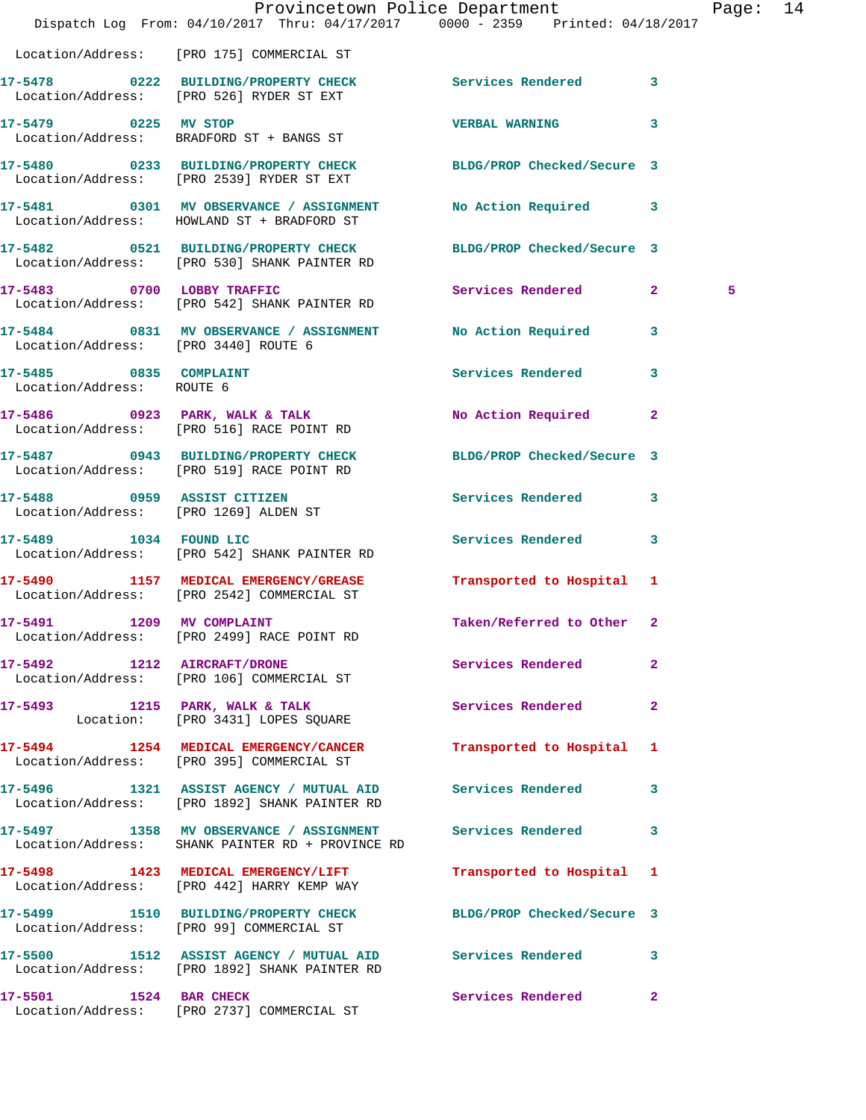|                                                     | Provincetown Police Department<br>Dispatch Log From: 04/10/2017 Thru: 04/17/2017 0000 - 2359 Printed: 04/18/2017 |                            |                | Page: 14 |  |
|-----------------------------------------------------|------------------------------------------------------------------------------------------------------------------|----------------------------|----------------|----------|--|
|                                                     | Location/Address: [PRO 175] COMMERCIAL ST                                                                        |                            |                |          |  |
|                                                     | 17-5478 0222 BUILDING/PROPERTY CHECK Services Rendered 3<br>Location/Address: [PRO 526] RYDER ST EXT             |                            |                |          |  |
| 17-5479 0225 MV STOP                                | Location/Address: BRADFORD ST + BANGS ST                                                                         | <b>VERBAL WARNING</b> 3    |                |          |  |
|                                                     | 17-5480 0233 BUILDING/PROPERTY CHECK BLDG/PROP Checked/Secure 3<br>Location/Address: [PRO 2539] RYDER ST EXT     |                            |                |          |  |
|                                                     | 17-5481 0301 MV OBSERVANCE / ASSIGNMENT No Action Required 3<br>Location/Address: HOWLAND ST + BRADFORD ST       |                            |                |          |  |
|                                                     | 17-5482 0521 BUILDING/PROPERTY CHECK<br>Location/Address: [PRO 530] SHANK PAINTER RD                             | BLDG/PROP Checked/Secure 3 |                |          |  |
|                                                     | 17-5483 0700 LOBBY TRAFFIC<br>Location/Address: [PRO 542] SHANK PAINTER RD                                       | Services Rendered 2        |                | 5        |  |
| Location/Address: [PRO 3440] ROUTE 6                | 17-5484 0831 MV OBSERVANCE / ASSIGNMENT No Action Required 3                                                     |                            |                |          |  |
| 17-5485 0835 COMPLAINT<br>Location/Address: ROUTE 6 |                                                                                                                  | <b>Services Rendered</b>   | $\mathbf{3}$   |          |  |
|                                                     | 17-5486 0923 PARK, WALK & TALK<br>Location/Address: [PRO 516] RACE POINT RD                                      | No Action Required 2       |                |          |  |
|                                                     | 17-5487 0943 BUILDING/PROPERTY CHECK<br>Location/Address: [PRO 519] RACE POINT RD                                | BLDG/PROP Checked/Secure 3 |                |          |  |
|                                                     | 17-5488 0959 ASSIST CITIZEN<br>Location/Address: [PRO 1269] ALDEN ST                                             | Services Rendered 3        |                |          |  |
|                                                     | 17-5489 1034 FOUND LIC<br>Location/Address: [PRO 542] SHANK PAINTER RD                                           | Services Rendered          | $\mathbf{3}$   |          |  |
|                                                     | 17-5490 1157 MEDICAL EMERGENCY/GREASE Transported to Hospital 1<br>Location/Address: [PRO 2542] COMMERCIAL ST    |                            |                |          |  |
| 1209<br>17-5491                                     | <b>MV COMPLAINT</b><br>Location/Address: [PRO 2499] RACE POINT RD                                                | Taken/Referred to Other 2  |                |          |  |
| 17-5492 1212 AIRCRAFT/DRONE                         | Location/Address: [PRO 106] COMMERCIAL ST                                                                        | Services Rendered          | $\overline{2}$ |          |  |
|                                                     | 17-5493 1215 PARK, WALK & TALK<br>Location: [PRO 3431] LOPES SQUARE                                              | Services Rendered 2        |                |          |  |
|                                                     | 17-5494 1254 MEDICAL EMERGENCY/CANCER<br>Location/Address: [PRO 395] COMMERCIAL ST                               | Transported to Hospital 1  |                |          |  |
|                                                     | 17-5496 1321 ASSIST AGENCY / MUTUAL AID Services Rendered<br>Location/Address: [PRO 1892] SHANK PAINTER RD       |                            | 3              |          |  |
|                                                     | 17-5497 1358 MV OBSERVANCE / ASSIGNMENT Services Rendered 3<br>Location/Address: SHANK PAINTER RD + PROVINCE RD  |                            |                |          |  |
|                                                     | 17-5498 1423 MEDICAL EMERGENCY/LIFT<br>Location/Address: [PRO 442] HARRY KEMP WAY                                | Transported to Hospital 1  |                |          |  |
|                                                     | 17-5499 1510 BUILDING/PROPERTY CHECK BLDG/PROP Checked/Secure 3<br>Location/Address: [PRO 99] COMMERCIAL ST      |                            |                |          |  |
|                                                     | 17-5500 1512 ASSIST AGENCY / MUTUAL AID Services Rendered<br>Location/Address: [PRO 1892] SHANK PAINTER RD       |                            | 3              |          |  |
| 17-5501 1524 BAR CHECK                              | Location/Address: [PRO 2737] COMMERCIAL ST                                                                       | Services Rendered 2        |                |          |  |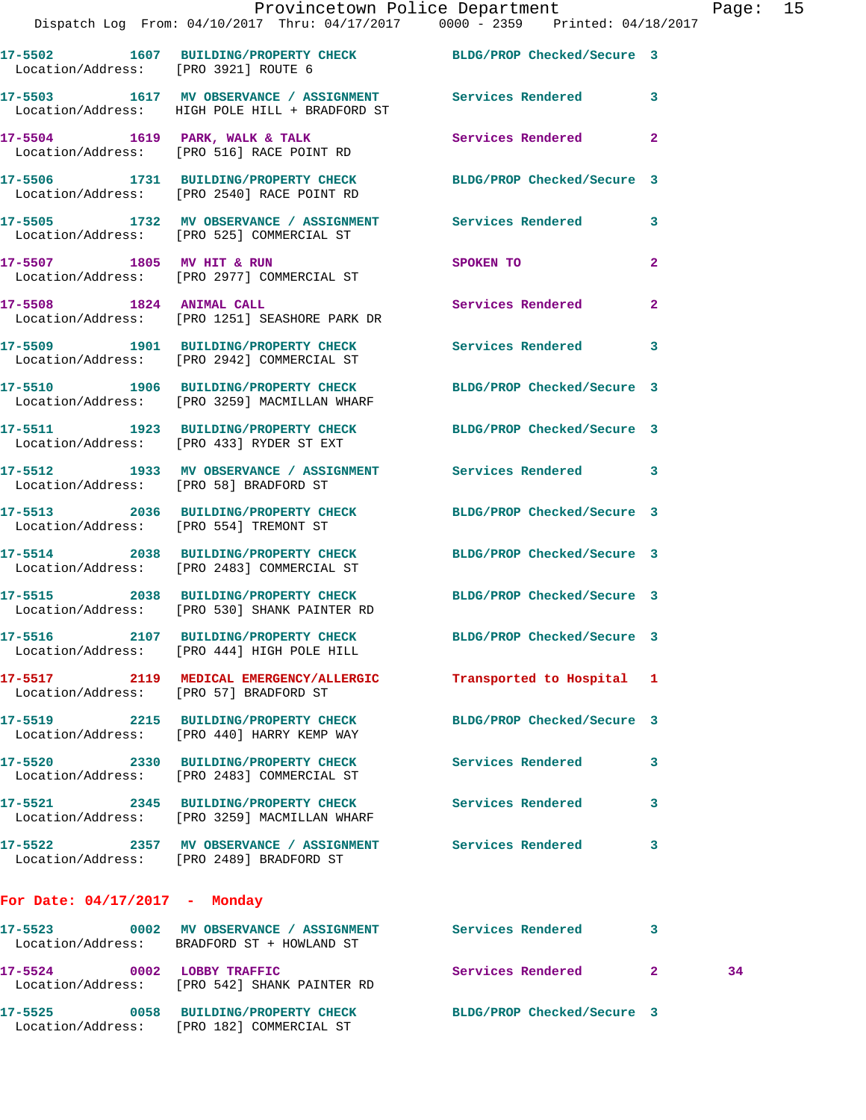**17-5504 1619 PARK, WALK & TALK Services Rendered 2**  Location/Address: [PRO 516] RACE POINT RD

**17-5506 1731 BUILDING/PROPERTY CHECK BLDG/PROP Checked/Secure 3**  Location/Address: [PRO 2540] RACE POINT RD

**17-5505 1732 MV OBSERVANCE / ASSIGNMENT Services Rendered 3**  Location/Address: [PRO 525] COMMERCIAL ST

**17-5507 1805 MV HIT & RUN SPOKEN TO 2**  Location/Address: [PRO 2977] COMMERCIAL ST

**17-5508 1824 ANIMAL CALL Services Rendered 2**  Location/Address: [PRO 1251] SEASHORE PARK DR

**17-5509 1901 BUILDING/PROPERTY CHECK Services Rendered 3**  Location/Address: [PRO 2942] COMMERCIAL ST

**17-5510 1906 BUILDING/PROPERTY CHECK BLDG/PROP Checked/Secure 3**  Location/Address: [PRO 3259] MACMILLAN WHARF

**17-5511 1923 BUILDING/PROPERTY CHECK BLDG/PROP Checked/Secure 3**  Location/Address: [PRO 433] RYDER ST EXT

**17-5512 1933 MV OBSERVANCE / ASSIGNMENT Services Rendered 3**  Location/Address: [PRO 58] BRADFORD ST

**17-5513 2036 BUILDING/PROPERTY CHECK BLDG/PROP Checked/Secure 3**  Location/Address: [PRO 554] TREMONT ST

**17-5514 2038 BUILDING/PROPERTY CHECK BLDG/PROP Checked/Secure 3**  Location/Address: [PRO 2483] COMMERCIAL ST

**17-5515 2038 BUILDING/PROPERTY CHECK BLDG/PROP Checked/Secure 3**  Location/Address: [PRO 530] SHANK PAINTER RD

**17-5516 2107 BUILDING/PROPERTY CHECK BLDG/PROP Checked/Secure 3**  Location/Address: [PRO 444] HIGH POLE HILL

**17-5517 2119 MEDICAL EMERGENCY/ALLERGIC Transported to Hospital 1**  Location/Address: [PRO 57] BRADFORD ST

**17-5519 2215 BUILDING/PROPERTY CHECK BLDG/PROP Checked/Secure 3**  Location/Address: [PRO 440] HARRY KEMP WAY

**17-5520 2330 BUILDING/PROPERTY CHECK Services Rendered 3**  Location/Address: [PRO 2483] COMMERCIAL ST

Location/Address: [PRO 3259] MACMILLAN WHARF

**17-5521 2345 BUILDING/PROPERTY CHECK Services Rendered 3** 

**17-5522 2357 MV OBSERVANCE / ASSIGNMENT Services Rendered 3**  Location/Address: [PRO 2489] BRADFORD ST

## **For Date: 04/17/2017 - Monday**

| 17–5523<br>Location/Address: | 0002 | MV OBSERVANCE / ASSIGNMENT<br>BRADFORD ST + HOWLAND ST    | Services Rendered          |    |
|------------------------------|------|-----------------------------------------------------------|----------------------------|----|
| 17-5524<br>Location/Address: | 0002 | LOBBY TRAFFIC<br>FRO 5421 SHANK PAINTER RD                | Services Rendered          | 34 |
| 17–5525<br>Location/Address: | 0058 | <b>BUILDING/PROPERTY CHECK</b><br>PRO 182] COMMERCIAL ST! | BLDG/PROP Checked/Secure 3 |    |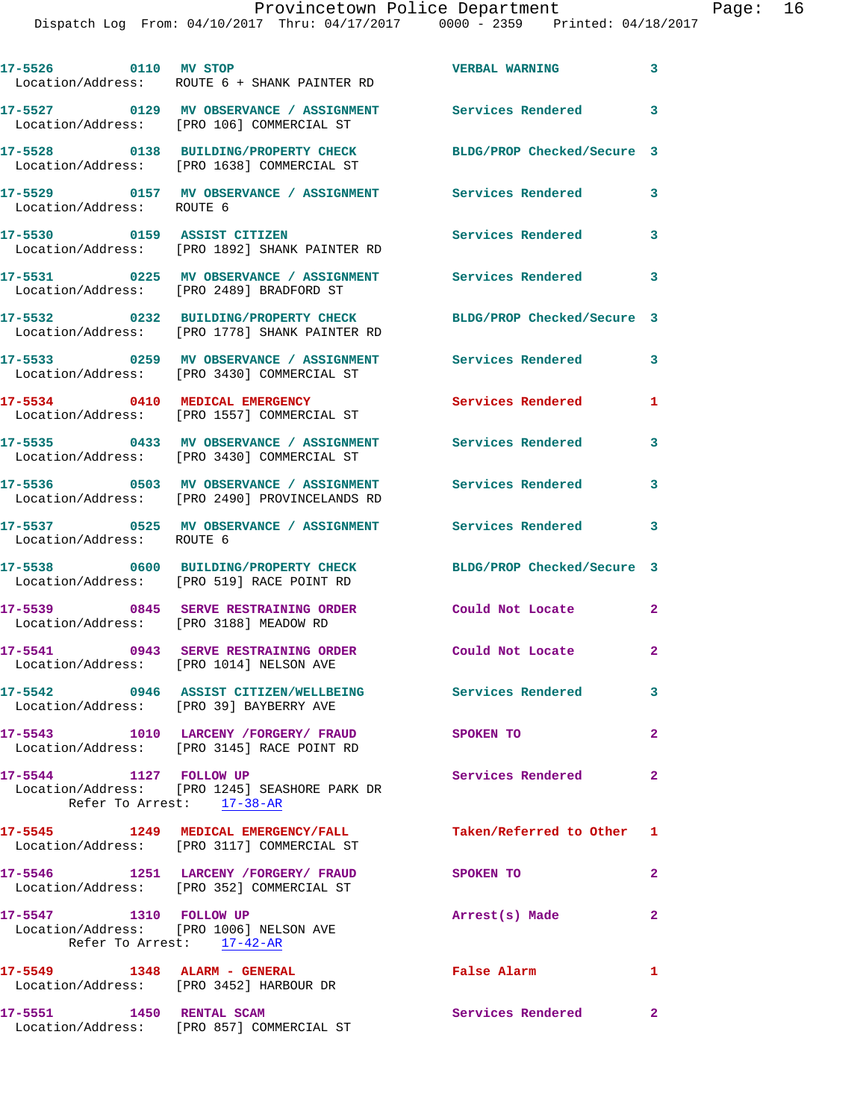## Provincetown Police Department Page: 16

| 17-5526 0110 MV STOP                                                    | Location/Address: ROUTE 6 + SHANK PAINTER RD                                                            | <b>VERBAL WARNING</b>      | $\mathbf{3}$               |
|-------------------------------------------------------------------------|---------------------------------------------------------------------------------------------------------|----------------------------|----------------------------|
|                                                                         | 17-5527 0129 MV OBSERVANCE / ASSIGNMENT<br>Location/Address: [PRO 106] COMMERCIAL ST                    | <b>Services Rendered</b>   | $\mathbf{3}$               |
|                                                                         | 17-5528 0138 BUILDING/PROPERTY CHECK<br>Location/Address: [PRO 1638] COMMERCIAL ST                      | BLDG/PROP Checked/Secure 3 |                            |
| Location/Address: ROUTE 6                                               | 17-5529       0157   MV OBSERVANCE / ASSIGNMENT       Services Rendered                                 |                            | 3                          |
| 17-5530 0159 ASSIST CITIZEN                                             | Location/Address: [PRO 1892] SHANK PAINTER RD                                                           | Services Rendered          | 3                          |
|                                                                         | 17-5531 0225 MV OBSERVANCE / ASSIGNMENT<br>Location/Address: [PRO 2489] BRADFORD ST                     | <b>Services Rendered</b>   | $\overline{\phantom{a}}$ 3 |
|                                                                         | 17-5532 0232 BUILDING/PROPERTY CHECK<br>Location/Address: [PRO 1778] SHANK PAINTER RD                   | BLDG/PROP Checked/Secure 3 |                            |
|                                                                         | 17-5533 0259 MV OBSERVANCE / ASSIGNMENT<br>Location/Address: [PRO 3430] COMMERCIAL ST                   | Services Rendered          | $\overline{\phantom{a}}$ 3 |
|                                                                         | 17-5534 0410 MEDICAL EMERGENCY<br>Location/Address: [PRO 1557] COMMERCIAL ST                            | <b>Services Rendered</b>   | 1                          |
|                                                                         | 17-5535 0433 MV OBSERVANCE / ASSIGNMENT Services Rendered<br>Location/Address: [PRO 3430] COMMERCIAL ST |                            | 3                          |
|                                                                         | 17-5536 0503 MV OBSERVANCE / ASSIGNMENT<br>Location/Address: [PRO 2490] PROVINCELANDS RD                | <b>Services Rendered</b>   | 3                          |
| Location/Address: ROUTE 6                                               | 17-5537 0525 MV OBSERVANCE / ASSIGNMENT                                                                 | Services Rendered 3        |                            |
|                                                                         | 17-5538 0600 BUILDING/PROPERTY CHECK<br>Location/Address: [PRO 519] RACE POINT RD                       | BLDG/PROP Checked/Secure 3 |                            |
| Location/Address: [PRO 3188] MEADOW RD                                  | 17-5539 0845 SERVE RESTRAINING ORDER                                                                    | Could Not Locate           | $\overline{\phantom{a}}$ 2 |
| Location/Address: [PRO 1014] NELSON AVE                                 | 17-5541 0943 SERVE RESTRAINING ORDER                                                                    | Could Not Locate           | $\overline{\phantom{a}}$   |
| Location/Address: [PRO 39] BAYBERRY AVE                                 | 17-5542 0946 ASSIST CITIZEN/WELLBEING                                                                   | Services Rendered          | $\mathbf{3}$               |
|                                                                         | 17-5543 1010 LARCENY /FORGERY/ FRAUD<br>Location/Address: [PRO 3145] RACE POINT RD                      | <b>SPOKEN TO</b>           | $\mathbf{2}$               |
| 17-5544 1127 FOLLOW UP                                                  | Location/Address: [PRO 1245] SEASHORE PARK DR<br>Refer To Arrest: 17-38-AR                              | <b>Services Rendered</b>   | $\overline{\phantom{a}}$ 2 |
|                                                                         | 17-5545 1249 MEDICAL EMERGENCY/FALL<br>Location/Address: [PRO 3117] COMMERCIAL ST                       | Taken/Referred to Other 1  |                            |
|                                                                         | 17-5546 1251 LARCENY /FORGERY/ FRAUD<br>Location/Address: [PRO 352] COMMERCIAL ST                       | <b>SPOKEN TO</b>           | $\mathbf{2}$               |
| 17-5547 1310 FOLLOW UP<br>Location/Address: [PRO 1006] NELSON AVE       | Refer To Arrest: 17-42-AR                                                                               | Arrest(s) Made             | $\mathbf{2}$               |
| 17-5549 1348 ALARM - GENERAL<br>Location/Address: [PRO 3452] HARBOUR DR |                                                                                                         | False Alarm                | 1                          |
| 17-5551 1450 RENTAL SCAM                                                | Location/Address: [PRO 857] COMMERCIAL ST                                                               | <b>Services Rendered</b> 2 |                            |